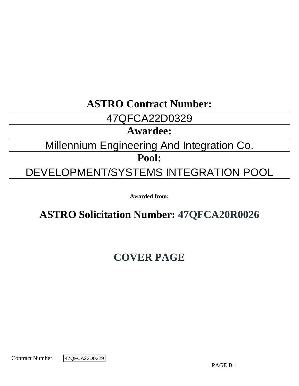### **ASTRO Contract Number:**

### 47QFCA22D0329

### **Awardee:**

# Millennium Engineering And Integration Co.

### **Pool:**

## DEVELOPMENT/SYSTEMS INTEGRATION POOL

**Awarded from:**

### **ASTRO Solicitation Number: 47QFCA20R0026**

## **COVER PAGE**

Contract Number:

47QFCA22D0329

PAGE B-1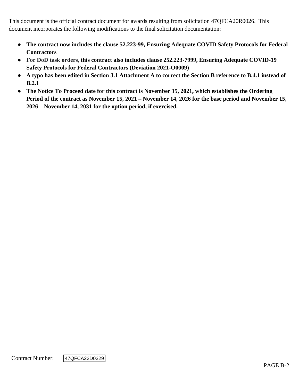This document is the official contract document for awards resulting from solicitation 47QFCA20R0026. This document incorporates the following modifications to the final solicitation documentation:

- **The contract now includes the clause 52.223-99, Ensuring Adequate COVID Safety Protocols for Federal Contractors**
- **For DoD task orders, this contract also includes clause 252.223-7999, Ensuring Adequate COVID-19 Safety Protocols for Federal Contractors (Deviation 2021-O0009)**
- **A typo has been edited in Section J.1 Attachment A to correct the Section B reference to B.4.1 instead of B.2.1**
- **The Notice To Proceed date for this contract is November 15, 2021, which establishes the Ordering Period of the contract as November 15, 2021 – November 14, 2026 for the base period and November 15, 2026 – November 14, 2031 for the option period, if exercised.**

Contract Number:

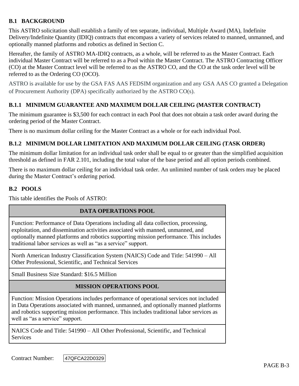#### **B.1 BACKGROUND**

This ASTRO solicitation shall establish a family of ten separate, individual, Multiple Award (MA), Indefinite Delivery/Indefinite Quantity (IDIQ) contracts that encompass a variety of services related to manned, unmanned, and optionally manned platforms and robotics as defined in Section C.

Hereafter, the family of ASTRO MA-IDIQ contracts, as a whole, will be referred to as the Master Contract. Each individual Master Contract will be referred to as a Pool within the Master Contract. The ASTRO Contracting Officer (CO) at the Master Contract level will be referred to as the ASTRO CO, and the CO at the task order level will be referred to as the Ordering CO (OCO).

ASTRO is available for use by the GSA FAS AAS FEDSIM organization and any GSA AAS CO granted a Delegation of Procurement Authority (DPA) specifically authorized by the ASTRO CO(s).

#### **B.1.1 MINIMUM GUARANTEE AND MAXIMUM DOLLAR CEILING (MASTER CONTRACT)**

The minimum guarantee is \$3,500 for each contract in each Pool that does not obtain a task order award during the ordering period of the Master Contract.

There is no maximum dollar ceiling for the Master Contract as a whole or for each individual Pool.

#### **B.1.2 MINIMUM DOLLAR LIMITATION AND MAXIMUM DOLLAR CEILING (TASK ORDER)**

The minimum dollar limitation for an individual task order shall be equal to or greater than the simplified acquisition threshold as defined in FAR 2.101, including the total value of the base period and all option periods combined.

There is no maximum dollar ceiling for an individual task order. An unlimited number of task orders may be placed during the Master Contract's ordering period.

#### **B.2 POOLS**

This table identifies the Pools of ASTRO:

#### **DATA OPERATIONS POOL**

Function: Performance of Data Operations including all data collection, processing, exploitation, and dissemination activities associated with manned, unmanned, and optionally manned platforms and robotics supporting mission performance. This includes traditional labor services as well as "as a service" support.

North American Industry Classification System (NAICS) Code and Title: 541990 – All Other Professional, Scientific, and Technical Services

Small Business Size Standard: \$16.5 Million

#### **MISSION OPERATIONS POOL**

Function: Mission Operations includes performance of operational services not included in Data Operations associated with manned, unmanned, and optionally manned platforms and robotics supporting mission performance. This includes traditional labor services as well as "as a service" support.

NAICS Code and Title: 541990 – All Other Professional, Scientific, and Technical **Services** 

Contract Number: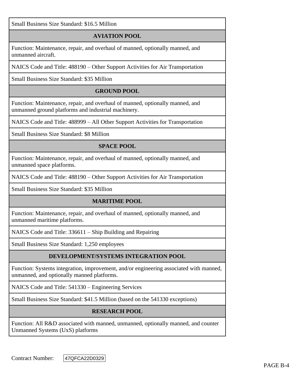Small Business Size Standard: \$16.5 Million

#### **AVIATION POOL**

Function: Maintenance, repair, and overhaul of manned, optionally manned, and unmanned aircraft.

NAICS Code and Title: 488190 – Other Support Activities for Air Transportation

Small Business Size Standard: \$35 Million

#### **GROUND POOL**

Function: Maintenance, repair, and overhaul of manned, optionally manned, and unmanned ground platforms and industrial machinery.

NAICS Code and Title: 488999 – All Other Support Activities for Transportation

Small Business Size Standard: \$8 Million

#### **SPACE POOL**

Function: Maintenance, repair, and overhaul of manned, optionally manned, and unmanned space platforms.

NAICS Code and Title: 488190 – Other Support Activities for Air Transportation

Small Business Size Standard: \$35 Million

#### **MARITIME POOL**

Function: Maintenance, repair, and overhaul of manned, optionally manned, and unmanned maritime platforms.

NAICS Code and Title: 336611 – Ship Building and Repairing

Small Business Size Standard: 1,250 employees

#### **DEVELOPMENT/SYSTEMS INTEGRATION POOL**

Function: Systems integration, improvement, and/or engineering associated with manned, unmanned, and optionally manned platforms.

NAICS Code and Title: 541330 – Engineering Services

Small Business Size Standard: \$41.5 Million (based on the 541330 exceptions)

#### **RESEARCH POOL**

Function: All R&D associated with manned, unmanned, optionally manned, and counter Unmanned Systems (UxS) platforms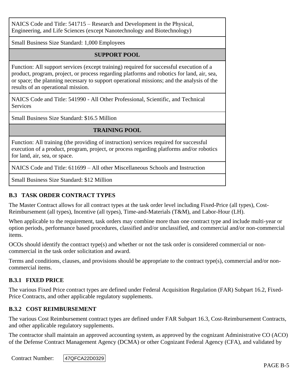NAICS Code and Title: 541715 – Research and Development in the Physical, Engineering, and Life Sciences (except Nanotechnology and Biotechnology)

Small Business Size Standard: 1,000 Employees

#### **SUPPORT POOL**

Function: All support services (except training) required for successful execution of a product, program, project, or process regarding platforms and robotics for land, air, sea, or space; the planning necessary to support operational missions; and the analysis of the results of an operational mission.

NAICS Code and Title: 541990 - All Other Professional, Scientific, and Technical **Services** 

Small Business Size Standard: \$16.5 Million

#### **TRAINING POOL**

Function: All training (the providing of instruction) services required for successful execution of a product, program, project, or process regarding platforms and/or robotics for land, air, sea, or space.

NAICS Code and Title: 611699 – All other Miscellaneous Schools and Instruction

Small Business Size Standard: \$12 Million

#### **B.3 TASK ORDER CONTRACT TYPES**

The Master Contract allows for all contract types at the task order level including Fixed-Price (all types), Cost-Reimbursement (all types), Incentive (all types), Time-and-Materials (T&M), and Labor-Hour (LH).

When applicable to the requirement, task orders may combine more than one contract type and include multi-year or option periods, performance based procedures, classified and/or unclassified, and commercial and/or non-commercial items.

OCOs should identify the contract type(s) and whether or not the task order is considered commercial or noncommercial in the task order solicitation and award.

Terms and conditions, clauses, and provisions should be appropriate to the contract type(s), commercial and/or noncommercial items.

#### **B.3.1 FIXED PRICE**

The various Fixed Price contract types are defined under Federal Acquisition Regulation (FAR) Subpart 16.2, Fixed-Price Contracts, and other applicable regulatory supplements.

#### **B.3.2 COST REIMBURSEMENT**

The various Cost Reimbursement contract types are defined under FAR Subpart 16.3, Cost-Reimbursement Contracts, and other applicable regulatory supplements.

The contractor shall maintain an approved accounting system, as approved by the cognizant Administrative CO (ACO) of the Defense Contract Management Agency (DCMA) or other Cognizant Federal Agency (CFA), and validated by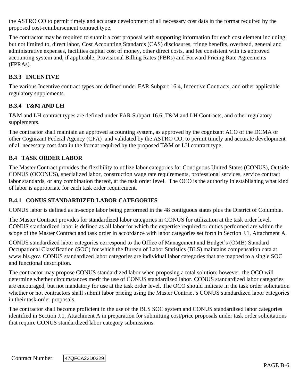the ASTRO CO to permit timely and accurate development of all necessary cost data in the format required by the proposed cost-reimbursement contract type.

The contractor may be required to submit a cost proposal with supporting information for each cost element including, but not limited to, direct labor, Cost Accounting Standards (CAS) disclosures, fringe benefits, overhead, general and administrative expenses, facilities capital cost of money, other direct costs, and fee consistent with its approved accounting system and, if applicable, Provisional Billing Rates (PBRs) and Forward Pricing Rate Agreements (FPRAs).

#### **B.3.3 INCENTIVE**

The various Incentive contract types are defined under FAR Subpart 16.4, Incentive Contracts, and other applicable regulatory supplements.

#### **B.3.4 T&M AND LH**

T&M and LH contract types are defined under FAR Subpart 16.6, T&M and LH Contracts, and other regulatory supplements.

The contractor shall maintain an approved accounting system, as approved by the cognizant ACO of the DCMA or other Cognizant Federal Agency (CFA) and validated by the ASTRO CO, to permit timely and accurate development of all necessary cost data in the format required by the proposed T&M or LH contract type.

#### **B.4 TASK ORDER LABOR**

The Master Contract provides the flexibility to utilize labor categories for Contiguous United States (CONUS), Outside CONUS (OCONUS), specialized labor, construction wage rate requirements, professional services, service contract labor standards, or any combination thereof, at the task order level. The OCO is the authority in establishing what kind of labor is appropriate for each task order requirement.

#### **B.4.1 CONUS STANDARDIZED LABOR CATEGORIES**

CONUS labor is defined as in-scope labor being performed in the 48 contiguous states plus the District of Columbia.

The Master Contract provides for standardized labor categories in CONUS for utilization at the task order level. CONUS standardized labor is defined as all labor for which the expertise required or duties performed are within the scope of the Master Contract and task order in accordance with labor categories set forth in Section J.1, Attachment A.

CONUS standardized labor categories correspond to the Office of Management and Budget's (OMB) Standard Occupational Classification (SOC) for which the Bureau of Labor Statistics (BLS) maintains compensation data at www.bls.gov. CONUS standardized labor categories are individual labor categories that are mapped to a single SOC and functional description.

The contractor may propose CONUS standardized labor when proposing a total solution; however, the OCO will determine whether circumstances merit the use of CONUS standardized labor. CONUS standardized labor categories are encouraged, but not mandatory for use at the task order level. The OCO should indicate in the task order solicitation whether or not contractors shall submit labor pricing using the Master Contract's CONUS standardized labor categories in their task order proposals.

The contractor shall become proficient in the use of the BLS SOC system and CONUS standardized labor categories identified in Section J.1, Attachment A in preparation for submitting cost/price proposals under task order solicitations that require CONUS standardized labor category submissions.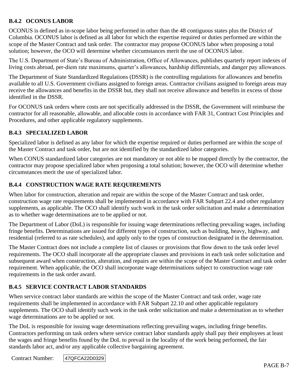#### **B.4.2 OCONUS LABOR**

OCONUS is defined as in-scope labor being performed in other than the 48 contiguous states plus the District of Columbia. OCONUS labor is defined as all labor for which the expertise required or duties performed are within the scope of the Master Contract and task order. The contractor may propose OCONUS labor when proposing a total solution; however, the OCO will determine whether circumstances merit the use of OCONUS labor.

The U.S. Department of State's Bureau of Administration, Office of Allowances, publishes quarterly report indexes of living costs abroad, per-diem rate maximums, quarter's allowances, hardship differentials, and danger pay allowances.

The Department of State Standardized Regulations (DSSR) is the controlling regulations for allowances and benefits available to all U.S. Government civilians assigned to foreign areas. Contractor civilians assigned to foreign areas may receive the allowances and benefits in the DSSR but, they shall not receive allowance and benefits in excess of those identified in the DSSR.

For OCONUS task orders where costs are not specifically addressed in the DSSR, the Government will reimburse the contractor for all reasonable, allowable, and allocable costs in accordance with FAR 31, Contract Cost Principles and Procedures, and other applicable regulatory supplements.

#### **B.4.3 SPECIALIZED LABOR**

Specialized labor is defined as any labor for which the expertise required or duties performed are within the scope of the Master Contract and task order, but are not identified by the standardized labor categories.

When CONUS standardized labor categories are not mandatory or not able to be mapped directly by the contractor, the contractor may propose specialized labor when proposing a total solution; however, the OCO will determine whether circumstances merit the use of specialized labor.

#### **B.4.4 CONSTRUCTION WAGE RATE REQUIREMENTS**

When labor for construction, alteration and repair are within the scope of the Master Contract and task order, construction wage rate requirements shall be implemented in accordance with FAR Subpart 22.4 and other regulatory supplements, as applicable. The OCO shall identify such work in the task order solicitation and make a determination as to whether wage determinations are to be applied or not.

The Department of Labor (DoL) is responsible for issuing wage determinations reflecting prevailing wages, including fringe benefits. Determinations are issued for different types of construction, such as building, heavy, highway, and residential (referred to as rate schedules), and apply only to the types of construction designated in the determination.

The Master Contract does not include a complete list of clauses or provisions that flow down to the task order level requirements. The OCO shall incorporate all the appropriate clauses and provisions in each task order solicitation and subsequent award when construction, alteration, and repairs are within the scope of the Master Contract and task order requirement. When applicable, the OCO shall incorporate wage determinations subject to construction wage rate requirements in the task order award.

#### **B.4.5 SERVICE CONTRACT LABOR STANDARDS**

When service contract labor standards are within the scope of the Master Contract and task order, wage rate requirements shall be implemented in accordance with FAR Subpart 22.10 and other applicable regulatory supplements. The OCO shall identify such work in the task order solicitation and make a determination as to whether wage determinations are to be applied or not.

The DoL is responsible for issuing wage determinations reflecting prevailing wages, including fringe benefits. Contractors performing on task orders where service contract labor standards apply shall pay their employees at least the wages and fringe benefits found by the DoL to prevail in the locality of the work being performed, the fair standards labor act, and/or any applicable collective bargaining agreement.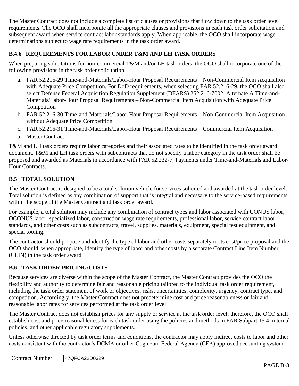The Master Contract does not include a complete list of clauses or provisions that flow down to the task order level requirements. The OCO shall incorporate all the appropriate clauses and provisions in each task order solicitation and subsequent award when service contract labor standards apply. When applicable, the OCO shall incorporate wage determinations subject to wage rate requirements in the task order award.

#### **B.4.6 REQUIREMENTS FOR LABOR UNDER T&M AND LH TASK ORDERS**

When preparing solicitations for non-commercial T&M and/or LH task orders, the OCO shall incorporate one of the following provisions in the task order solicitation.

- a. FAR 52.216-29 Time-and-Materials/Labor-Hour Proposal Requirements—Non-Commercial Item Acquisition with Adequate Price Competition. For DoD requirements, when selecting FAR 52.216-29, the OCO shall also select Defense Federal Acquisition Regulation Supplement (DFARS) 252.216-7002, Alternate A Time-and-Materials/Labor-Hour Proposal Requirements – Non-Commercial Item Acquisition with Adequate Price Competition
- b. FAR 52.216-30 Time-and-Materials/Labor-Hour Proposal Requirements—Non-Commercial Item Acquisition without Adequate Price Competition
- c. FAR 52.216-31 Time-and-Materials/Labor-Hour Proposal Requirements—Commercial Item Acquisition
- a. Master Contract

T&M and LH task orders require labor categories and their associated rates to be identified in the task order award document. T&M and LH task orders with subcontracts that do not specify a labor category in the task order shall be proposed and awarded as Materials in accordance with FAR 52.232-7, Payments under Time-and-Materials and Labor-Hour Contracts.

#### **B.5 TOTAL SOLUTION**

The Master Contract is designed to be a total solution vehicle for services solicited and awarded at the task order level. Total solution is defined as any combination of support that is integral and necessary to the service-based requirements within the scope of the Master Contract and task order award.

For example, a total solution may include any combination of contract types and labor associated with CONUS labor, OCONUS labor, specialized labor, construction wage rate requirements, professional labor, service contract labor standards, and other costs such as subcontracts, travel, supplies, materials, equipment, special test equipment, and special tooling.

The contractor should propose and identify the type of labor and other costs separately in its cost/price proposal and the OCO should, when appropriate, identify the type of labor and other costs by a separate Contract Line Item Number (CLIN) in the task order award.

#### **B.6 TASK ORDER PRICING/COSTS**

Because services are diverse within the scope of the Master Contract, the Master Contract provides the OCO the flexibility and authority to determine fair and reasonable pricing tailored to the individual task order requirement, including the task order statement of work or objectives, risks, uncertainties, complexity, urgency, contract type, and competition. Accordingly, the Master Contract does not predetermine cost and price reasonableness or fair and reasonable labor rates for services performed at the task order level.

The Master Contract does not establish prices for any supply or service at the task order level; therefore, the OCO shall establish cost and price reasonableness for each task order using the policies and methods in FAR Subpart 15.4, internal policies, and other applicable regulatory supplements.

Unless otherwise directed by task order terms and conditions, the contractor may apply indirect costs to labor and other costs consistent with the contractor's DCMA or other Cognizant Federal Agency (CFA) approved accounting system.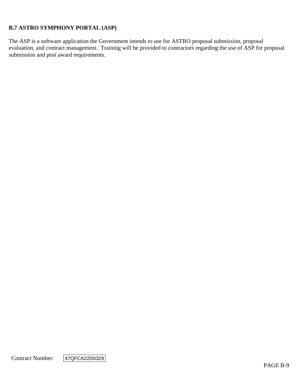#### **B.7 ASTRO SYMPHONY PORTAL (ASP)**

The ASP is a software application the Government intends to use for ASTRO proposal submission, proposal evaluation, and contract management. Training will be provided to contractors regarding the use of ASP for proposal submission and post award requirements.

Contract Number:

47QFCA22D0329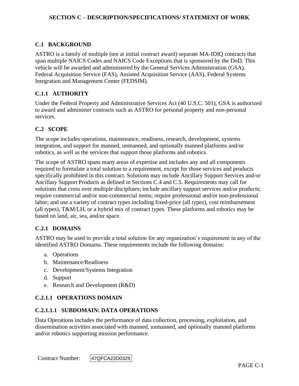#### **C.1 BACKGROUND**

ASTRO is a family of multiple (ten at initial contract award) separate MA-IDIQ contracts that span multiple NAICS Codes and NAICS Code Exceptions that is sponsored by the DoD. This vehicle will be awarded and administered by the General Services Administration (GSA), Federal Acquisition Service (FAS), Assisted Acquisition Service (AAS), Federal Systems Integration and Management Center (FEDSIM).

#### **C.1.1 AUTHORITY**

Under the Federal Property and Administrative Services Act (40 U.S.C. 501), GSA is authorized to award and administer contracts such as ASTRO for personal property and non-personal services.

#### **C.2 SCOPE**

The scope includes operations, maintenance, readiness, research, development, systems integration, and support for manned, unmanned, and optionally manned platforms and/or robotics, as well as the services that support those platforms and robotics.

The scope of ASTRO spans many areas of expertise and includes any and all components required to formulate a total solution to a requirement, except for those services and products specifically prohibited in this contract. Solutions may include Ancillary Support Services and/or Ancillary Support Products as defined in Sections C.4 and C.5. Requirements may call for solutions that cross over multiple disciplines; include ancillary support services and/or products; require commercial and/or non-commercial items; require professional and/or non-professional labor; and use a variety of contract types including fixed-price (all types), cost reimbursement (all types), T&M/LH, or a hybrid mix of contract types. These platforms and robotics may be based on land, air, sea, and/or space.

#### **C.2.1 DOMAINS**

ASTRO may be used to provide a total solution for any organization's requirement in any of the identified ASTRO Domains. These requirements include the following domains:

- a. Operations
- b. Maintenance/Readiness
- c. Development/Systems Integration
- d. Support
- e. Research and Development (R&D)

#### **C.2.1.1 OPERATIONS DOMAIN**

#### **C.2.1.1.1 SUBDOMAIN: DATA OPERATIONS**

Data Operations includes the performance of data collection, processing, exploitation, and dissemination activities associated with manned, unmanned, and optionally manned platforms and/or robotics supporting mission performance.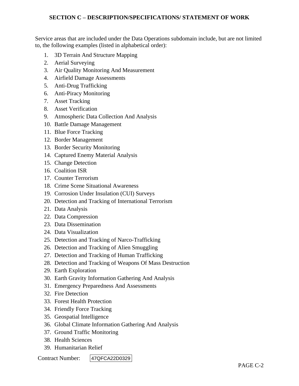Service areas that are included under the Data Operations subdomain include, but are not limited to, the following examples (listed in alphabetical order):

- 1. 3D Terrain And Structure Mapping
- 2. Aerial Surveying
- 3. Air Quality Monitoring And Measurement
- 4. Airfield Damage Assessments
- 5. Anti-Drug Trafficking
- 6. Anti-Piracy Monitoring
- 7. Asset Tracking
- 8. Asset Verification
- 9. Atmospheric Data Collection And Analysis
- 10. Battle Damage Management
- 11. Blue Force Tracking
- 12. Border Management
- 13. Border Security Monitoring
- 14. Captured Enemy Material Analysis
- 15. Change Detection
- 16. Coalition ISR
- 17. Counter Terrorism
- 18. Crime Scene Situational Awareness
- 19. Corrosion Under Insulation (CUI) Surveys
- 20. Detection and Tracking of International Terrorism
- 21. Data Analysis
- 22. Data Compression
- 23. Data Dissemination
- 24. Data Visualization
- 25. Detection and Tracking of Narco-Trafficking
- 26. Detection and Tracking of Alien Smuggling
- 27. Detection and Tracking of Human Trafficking
- 28. Detection and Tracking of Weapons Of Mass Destruction
- 29. Earth Exploration
- 30. Earth Gravity Information Gathering And Analysis
- 31. Emergency Preparedness And Assessments
- 32. Fire Detection
- 33. Forest Health Protection
- 34. Friendly Force Tracking
- 35. Geospatial Intelligence
- 36. Global Climate Information Gathering And Analysis
- 37. Ground Traffic Monitoring
- 38. Health Sciences
- 39. Humanitarian Relief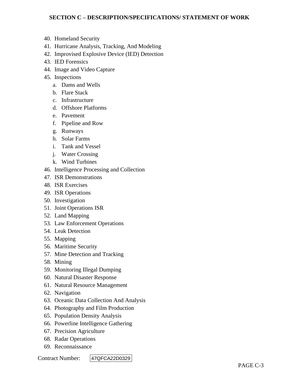- 40. Homeland Security
- 41. Hurricane Analysis, Tracking, And Modeling
- 42. Improvised Explosive Device (IED) Detection
- 43. IED Forensics
- 44. Image and Video Capture
- 45. Inspections
	- a. Dams and Wells
	- b. Flare Stack
	- c. Infrastructure
	- d. Offshore Platforms
	- e. Pavement
	- f. Pipeline and Row
	- g. Runways
	- h. Solar Farms
	- i. Tank and Vessel
	- j. Water Crossing
	- k. Wind Turbines
- 46. Intelligence Processing and Collection
- 47. ISR Demonstrations
- 48. ISR Exercises
- 49. ISR Operations
- 50. Investigation
- 51. Joint Operations ISR
- 52. Land Mapping
- 53. Law Enforcement Operations
- 54. Leak Detection
- 55. Mapping
- 56. Maritime Security
- 57. Mine Detection and Tracking
- 58. Mining
- 59. Monitoring Illegal Dumping
- 60. Natural Disaster Response
- 61. Natural Resource Management
- 62. Navigation
- 63. Oceanic Data Collection And Analysis
- 64. Photography and Film Production
- 65. Population Density Analysis
- 66. Powerline Intelligence Gathering
- 67. Precision Agriculture
- 68. Radar Operations
- 69. Reconnaissance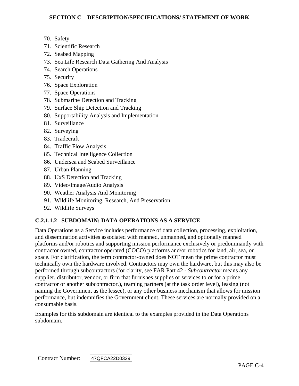- 70. Safety
- 71. Scientific Research
- 72. Seabed Mapping
- 73. Sea Life Research Data Gathering And Analysis
- 74. Search Operations
- 75. Security
- 76. Space Exploration
- 77. Space Operations
- 78. Submarine Detection and Tracking
- 79. Surface Ship Detection and Tracking
- 80. Supportability Analysis and Implementation
- 81. Surveillance
- 82. Surveying
- 83. Tradecraft
- 84. Traffic Flow Analysis
- 85. Technical Intelligence Collection
- 86. Undersea and Seabed Surveillance
- 87. Urban Planning
- 88. UxS Detection and Tracking
- 89. Video/Image/Audio Analysis
- 90. Weather Analysis And Monitoring
- 91. Wildlife Monitoring, Research, And Preservation
- 92. Wildlife Surveys

#### **C.2.1.1.2 SUBDOMAIN: DATA OPERATIONS AS A SERVICE**

Data Operations as a Service includes performance of data collection, processing, exploitation, and dissemination activities associated with manned, unmanned, and optionally manned platforms and/or robotics and supporting mission performance exclusively or predominantly with contractor owned, contractor operated (COCO) platforms and/or robotics for land, air, sea, or space. For clarification, the term contractor-owned does NOT mean the prime contractor must technically own the hardware involved. Contractors may own the hardware, but this may also be performed through subcontractors (for clarity, see FAR Part 42 - *Subcontractor* means any supplier, distributor, vendor, or firm that furnishes supplies or services to or for a prime contractor or another subcontractor.), teaming partners (at the task order level), leasing (not naming the Government as the lessee), or any other business mechanism that allows for mission performance, but indemnifies the Government client. These services are normally provided on a consumable basis.

Examples for this subdomain are identical to the examples provided in the Data Operations subdomain.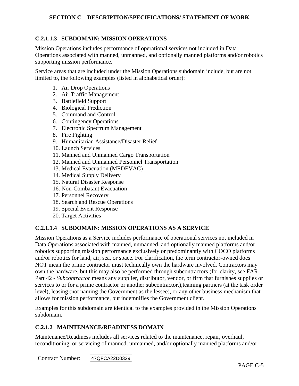#### **C.2.1.1.3 SUBDOMAIN: MISSION OPERATIONS**

Mission Operations includes performance of operational services not included in Data Operations associated with manned, unmanned, and optionally manned platforms and/or robotics supporting mission performance.

Service areas that are included under the Mission Operations subdomain include, but are not limited to, the following examples (listed in alphabetical order):

- 1. Air Drop Operations
- 2. Air Traffic Management
- 3. Battlefield Support
- 4. Biological Prediction
- 5. Command and Control
- 6. Contingency Operations
- 7. Electronic Spectrum Management
- 8. Fire Fighting
- 9. Humanitarian Assistance/Disaster Relief
- 10. Launch Services
- 11. Manned and Unmanned Cargo Transportation
- 12. Manned and Unmanned Personnel Transportation
- 13. Medical Evacuation (MEDEVAC)
- 14. Medical Supply Delivery
- 15. Natural Disaster Response
- 16. Non-Combatant Evacuation
- 17. Personnel Recovery
- 18. Search and Rescue Operations
- 19. Special Event Response
- 20. Target Activities

#### **C.2.1.1.4 SUBDOMAIN: MISSION OPERATIONS AS A SERVICE**

Mission Operations as a Service includes performance of operational services not included in Data Operations associated with manned, unmanned, and optionally manned platforms and/or robotics supporting mission performance exclusively or predominantly with COCO platforms and/or robotics for land, air, sea, or space. For clarification, the term contractor-owned does NOT mean the prime contractor must technically own the hardware involved. Contractors may own the hardware, but this may also be performed through subcontractors (for clarity, see FAR Part 42 - *Subcontractor* means any supplier, distributor, vendor, or firm that furnishes supplies or services to or for a prime contractor or another subcontractor.),teaming partners (at the task order level), leasing (not naming the Government as the lessee), or any other business mechanism that allows for mission performance, but indemnifies the Government client.

Examples for this subdomain are identical to the examples provided in the Mission Operations subdomain.

#### **C.2.1.2 MAINTENANCE/READINESS DOMAIN**

Maintenance/Readiness includes all services related to the maintenance, repair, overhaul, reconditioning, or servicing of manned, unmanned, and/or optionally manned platforms and/or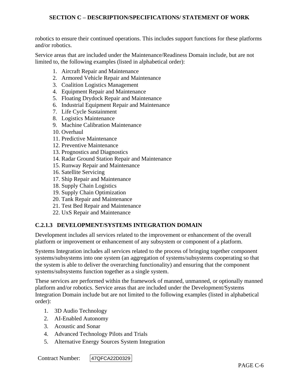robotics to ensure their continued operations. This includes support functions for these platforms and/or robotics.

Service areas that are included under the Maintenance/Readiness Domain include, but are not limited to, the following examples (listed in alphabetical order):

- 1. Aircraft Repair and Maintenance
- 2. Armored Vehicle Repair and Maintenance
- 3. Coalition Logistics Management
- 4. Equipment Repair and Maintenance
- 5. Floating Drydock Repair and Maintenance
- 6. Industrial Equipment Repair and Maintenance
- 7. Life Cycle Sustainment
- 8. Logistics Maintenance
- 9. Machine Calibration Maintenance
- 10. Overhaul
- 11. Predictive Maintenance
- 12. Preventive Maintenance
- 13. Prognostics and Diagnostics
- 14. Radar Ground Station Repair and Maintenance
- 15. Runway Repair and Maintenance
- 16. Satellite Servicing
- 17. Ship Repair and Maintenance
- 18. Supply Chain Logistics
- 19. Supply Chain Optimization
- 20. Tank Repair and Maintenance
- 21. Test Bed Repair and Maintenance
- 22. UxS Repair and Maintenance

#### **C.2.1.3 DEVELOPMENT/SYSTEMS INTEGRATION DOMAIN**

Development includes all services related to the improvement or enhancement of the overall platform or improvement or enhancement of any subsystem or component of a platform.

Systems Integration includes all services related to the process of bringing together component systems/subsystems into one system (an aggregation of systems/subsystems cooperating so that the system is able to deliver the overarching functionality) and ensuring that the component systems/subsystems function together as a single system.

These services are performed within the framework of manned, unmanned, or optionally manned platform and/or robotics. Service areas that are included under the Development/Systems Integration Domain include but are not limited to the following examples (listed in alphabetical order):

- 1. 3D Audio Technology
- 2. AI-Enabled Autonomy
- 3. Acoustic and Sonar
- 4. Advanced Technology Pilots and Trials
- 5. Alternative Energy Sources System Integration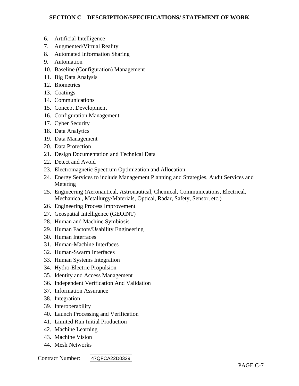- 6. Artificial Intelligence
- 7. Augmented/Virtual Reality
- 8. Automated Information Sharing
- 9. Automation
- 10. Baseline (Configuration) Management
- 11. Big Data Analysis
- 12. Biometrics
- 13. Coatings
- 14. Communications
- 15. Concept Development
- 16. Configuration Management
- 17. Cyber Security
- 18. Data Analytics
- 19. Data Management
- 20. Data Protection
- 21. Design Documentation and Technical Data
- 22. Detect and Avoid
- 23. Electromagnetic Spectrum Optimization and Allocation
- 24. Energy Services to include Management Planning and Strategies, Audit Services and Metering
- 25. Engineering (Aeronautical, Astronautical, Chemical, Communications, Electrical, Mechanical, Metallurgy/Materials, Optical, Radar, Safety, Sensor, etc.)
- 26. Engineering Process Improvement
- 27. Geospatial Intelligence (GEOINT)
- 28. Human and Machine Symbiosis
- 29. Human Factors/Usability Engineering
- 30. Human Interfaces
- 31. Human-Machine Interfaces
- 32. Human-Swarm Interfaces
- 33. Human Systems Integration
- 34. Hydro-Electric Propulsion
- 35. Identity and Access Management
- 36. Independent Verification And Validation
- 37. Information Assurance
- 38. Integration
- 39. Interoperability
- 40. Launch Processing and Verification
- 41. Limited Run Initial Production
- 42. Machine Learning
- 43. Machine Vision
- 44. Mesh Networks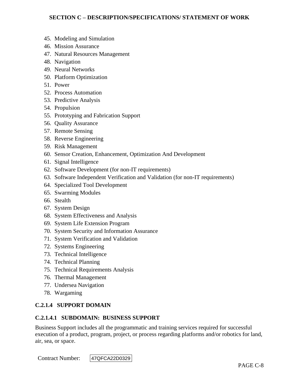- 45. Modeling and Simulation
- 46. Mission Assurance
- 47. Natural Resources Management
- 48. Navigation
- 49. Neural Networks
- 50. Platform Optimization
- 51. Power
- 52. Process Automation
- 53. Predictive Analysis
- 54. Propulsion
- 55. Prototyping and Fabrication Support
- 56. Quality Assurance
- 57. Remote Sensing
- 58. Reverse Engineering
- 59. Risk Management
- 60. Sensor Creation, Enhancement, Optimization And Development
- 61. Signal Intelligence
- 62. Software Development (for non-IT requirements)
- 63. Software Independent Verification and Validation (for non-IT requirements)
- 64. Specialized Tool Development
- 65. Swarming Modules
- 66. Stealth
- 67. System Design
- 68. System Effectiveness and Analysis
- 69. System Life Extension Program
- 70. System Security and Information Assurance
- 71. System Verification and Validation
- 72. Systems Engineering
- 73. Technical Intelligence
- 74. Technical Planning
- 75. Technical Requirements Analysis
- 76. Thermal Management
- 77. Undersea Navigation
- 78. Wargaming

#### **C.2.1.4 SUPPORT DOMAIN**

#### **C.2.1.4.1 SUBDOMAIN: BUSINESS SUPPORT**

Business Support includes all the programmatic and training services required for successful execution of a product, program, project, or process regarding platforms and/or robotics for land, air, sea, or space.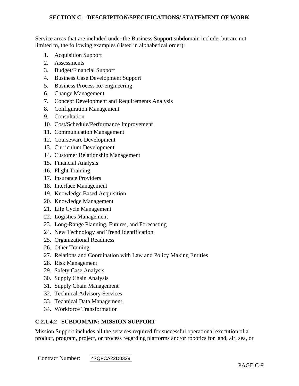Service areas that are included under the Business Support subdomain include, but are not limited to, the following examples (listed in alphabetical order):

- 1. Acquisition Support
- 2. Assessments
- 3. Budget/Financial Support
- 4. Business Case Development Support
- 5. Business Process Re-engineering
- 6. Change Management
- 7. Concept Development and Requirements Analysis
- 8. Configuration Management
- 9. Consultation
- 10. Cost/Schedule/Performance Improvement
- 11. Communication Management
- 12. Courseware Development
- 13. Curriculum Development
- 14. Customer Relationship Management
- 15. Financial Analysis
- 16. Flight Training
- 17. Insurance Providers
- 18. Interface Management
- 19. Knowledge Based Acquisition
- 20. Knowledge Management
- 21. Life Cycle Management
- 22. Logistics Management
- 23. Long-Range Planning, Futures, and Forecasting
- 24. New Technology and Trend Identification
- 25. Organizational Readiness
- 26. Other Training
- 27. Relations and Coordination with Law and Policy Making Entities
- 28. Risk Management
- 29. Safety Case Analysis
- 30. Supply Chain Analysis
- 31. Supply Chain Management
- 32. Technical Advisory Services
- 33. Technical Data Management
- 34. Workforce Transformation

#### **C.2.1.4.2 SUBDOMAIN: MISSION SUPPORT**

Mission Support includes all the services required for successful operational execution of a product, program, project, or process regarding platforms and/or robotics for land, air, sea, or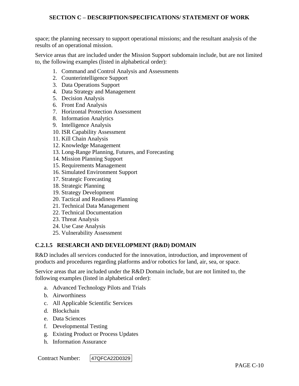space; the planning necessary to support operational missions; and the resultant analysis of the results of an operational mission.

Service areas that are included under the Mission Support subdomain include, but are not limited to, the following examples (listed in alphabetical order):

- 1. Command and Control Analysis and Assessments
- 2. Counterintelligence Support
- 3. Data Operations Support
- 4. Data Strategy and Management
- 5. Decision Analysis
- 6. Front End Analysis
- 7. Horizontal Protection Assessment
- 8. Information Analytics
- 9. Intelligence Analysis
- 10. ISR Capability Assessment
- 11. Kill Chain Analysis
- 12. Knowledge Management
- 13. Long-Range Planning, Futures, and Forecasting
- 14. Mission Planning Support
- 15. Requirements Management
- 16. Simulated Environment Support
- 17. Strategic Forecasting
- 18. Strategic Planning
- 19. Strategy Development
- 20. Tactical and Readiness Planning
- 21. Technical Data Management
- 22. Technical Documentation
- 23. Threat Analysis
- 24. Use Case Analysis
- 25. Vulnerability Assessment

#### **C.2.1.5 RESEARCH AND DEVELOPMENT (R&D) DOMAIN**

R&D includes all services conducted for the innovation, introduction, and improvement of products and procedures regarding platforms and/or robotics for land, air, sea, or space.

Service areas that are included under the R&D Domain include, but are not limited to, the following examples (listed in alphabetical order):

- a. Advanced Technology Pilots and Trials
- b. Airworthiness
- c. All Applicable Scientific Services
- d. Blockchain
- e. Data Sciences
- f. Developmental Testing
- g. Existing Product or Process Updates
- h. Information Assurance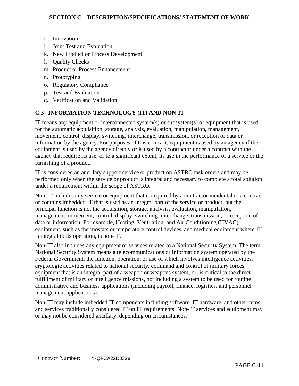- i. Innovation
- j. Joint Test and Evaluation
- k. New Product or Process Development
- l. Quality Checks
- m. Product or Process Enhancement
- n. Prototyping
- o. Regulatory Compliance
- p. Test and Evaluation
- q. Verification and Validation

#### **C.3 INFORMATION TECHNOLOGY (IT) AND NON-IT**

IT means any equipment or interconnected system(s) or subsystem(s) of equipment that is used for the automatic acquisition, storage, analysis, evaluation, manipulation, management, movement, control, display, switching, interchange, transmission, or reception of data or information by the agency. For purposes of this contract, equipment is used by an agency if the equipment is used by the agency directly or is used by a contractor under a contract with the agency that require its use; or to a significant extent, its use in the performance of a service or the furnishing of a product.

IT is considered an ancillary support service or product on ASTRO task orders and may be performed only when the service or product is integral and necessary to complete a total solution under a requirement within the scope of ASTRO.

Non-IT includes any service or equipment that is acquired by a contractor incidental to a contract or contains imbedded IT that is used as an integral part of the service or product, but the principal function is not the acquisition, storage, analysis, evaluation, manipulation, management, movement, control, display, switching, interchange, transmission, or reception of data or information. For example, Heating, Ventilation, and Air Conditioning (HVAC) equipment, such as thermostats or temperature control devices, and medical equipment where IT is integral to its operation, is non-IT.

Non-IT also includes any equipment or services related to a National Security System. The term National Security System means a telecommunications or information system operated by the Federal Government, the function, operation, or use of which involves intelligence activities, cryptologic activities related to national security, command and control of military forces, equipment that is an integral part of a weapon or weapons system; or, is critical to the direct fulfillment of military or intelligence missions, not including a system to be used for routine administrative and business applications (including payroll, finance, logistics, and personnel management applications).

Non-IT may include imbedded IT components including software, IT hardware, and other items and services traditionally considered IT on IT requirements. Non-IT services and equipment may or may not be considered ancillary, depending on circumstances.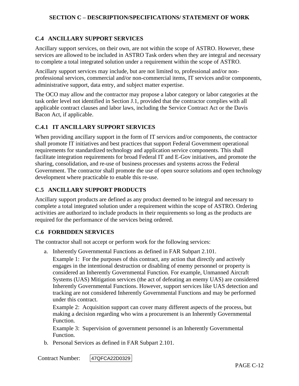#### **C.4 ANCILLARY SUPPORT SERVICES**

Ancillary support services, on their own, are not within the scope of ASTRO. However, these services are allowed to be included in ASTRO Task orders when they are integral and necessary to complete a total integrated solution under a requirement within the scope of ASTRO.

Ancillary support services may include, but are not limited to, professional and/or nonprofessional services, commercial and/or non-commercial items, IT services and/or components, administrative support, data entry, and subject matter expertise.

The OCO may allow and the contractor may propose a labor category or labor categories at the task order level not identified in Section J.1, provided that the contractor complies with all applicable contract clauses and labor laws, including the Service Contract Act or the Davis Bacon Act, if applicable.

#### **C.4.1 IT ANCILLARY SUPPORT SERVICES**

When providing ancillary support in the form of IT services and/or components, the contractor shall promote IT initiatives and best practices that support Federal Government operational requirements for standardized technology and application service components. This shall facilitate integration requirements for broad Federal IT and E-Gov initiatives, and promote the sharing, consolidation, and re-use of business processes and systems across the Federal Government. The contractor shall promote the use of open source solutions and open technology development where practicable to enable this re-use.

#### **C.5 ANCILLARY SUPPORT PRODUCTS**

Ancillary support products are defined as any product deemed to be integral and necessary to complete a total integrated solution under a requirement within the scope of ASTRO. Ordering activities are authorized to include products in their requirements so long as the products are required for the performance of the services being ordered.

#### **C.6 FORBIDDEN SERVICES**

The contractor shall not accept or perform work for the following services:

a. Inherently Governmental Functions as defined in FAR Subpart 2.101.

Example 1: For the purposes of this contract, any action that directly and actively engages in the intentional destruction or disabling of enemy personnel or property is considered an Inherently Governmental Function. For example, Unmanned Aircraft Systems (UAS) Mitigation services (the act of defeating an enemy UAS) are considered Inherently Governmental Functions. However, support services like UAS detection and tracking are not considered Inherently Governmental Functions and may be performed under this contract.

Example 2: Acquisition support can cover many different aspects of the process, but making a decision regarding who wins a procurement is an Inherently Governmental Function.

Example 3: Supervision of government personnel is an Inherently Governmental Function.

b. Personal Services as defined in FAR Subpart 2.101.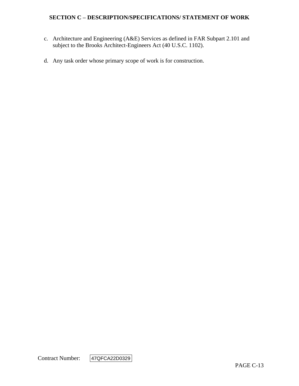- c. Architecture and Engineering (A&E) Services as defined in FAR Subpart 2.101 and subject to the Brooks Architect-Engineers Act (40 U.S.C. 1102).
- d. Any task order whose primary scope of work is for construction.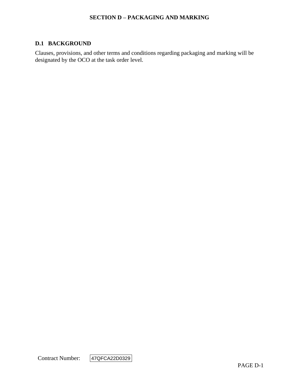#### **SECTION D – PACKAGING AND MARKING**

#### **D.1 BACKGROUND**

Clauses, provisions, and other terms and conditions regarding packaging and marking will be designated by the OCO at the task order level.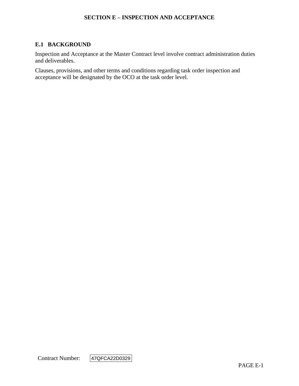#### **SECTION E – INSPECTION AND ACCEPTANCE**

#### **E.1 BACKGROUND**

Inspection and Acceptance at the Master Contract level involve contract administration duties and deliverables.

Clauses, provisions, and other terms and conditions regarding task order inspection and acceptance will be designated by the OCO at the task order level.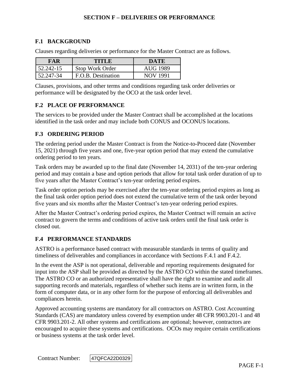#### **F.1 BACKGROUND**

Clauses regarding deliveries or performance for the Master Contract are as follows.

| FAR       | TITLE              | DATE     |
|-----------|--------------------|----------|
| 52.242-15 | Stop Work Order    | AUG 1989 |
| 52.247-34 | F.O.B. Destination | NOV 1991 |

Clauses, provisions, and other terms and conditions regarding task order deliveries or performance will be designated by the OCO at the task order level.

#### **F.2 PLACE OF PERFORMANCE**

The services to be provided under the Master Contract shall be accomplished at the locations identified in the task order and may include both CONUS and OCONUS locations.

#### **F.3 ORDERING PERIOD**

The ordering period under the Master Contract is from the Notice-to-Proceed date (November 15, 2021) through five years and one, five-year option period that may extend the cumulative ordering period to ten years.

Task orders may be awarded up to the final date (November 14, 2031) of the ten-year ordering period and may contain a base and option periods that allow for total task order duration of up to five years after the Master Contract's ten-year ordering period expires.

Task order option periods may be exercised after the ten-year ordering period expires as long as the final task order option period does not extend the cumulative term of the task order beyond five years and six months after the Master Contract's ten-year ordering period expires.

After the Master Contract's ordering period expires, the Master Contract will remain an active contract to govern the terms and conditions of active task orders until the final task order is closed out.

#### **F.4 PERFORMANCE STANDARDS**

ASTRO is a performance based contract with measurable standards in terms of quality and timeliness of deliverables and compliances in accordance with Sections F.4.1 and F.4.2.

In the event the ASP is not operational, deliverable and reporting requirements designated for input into the ASP shall be provided as directed by the ASTRO CO within the stated timeframes. The ASTRO CO or an authorized representative shall have the right to examine and audit all supporting records and materials, regardless of whether such items are in written form, in the form of computer data, or in any other form for the purpose of enforcing all deliverables and compliances herein.

Approved accounting systems are mandatory for all contractors on ASTRO. Cost Accounting Standards (CAS) are mandatory unless covered by exemption under 48 CFR 9903.201-1 and 48 CFR 9903.201-2. All other systems and certifications are optional; however, contractors are encouraged to acquire these systems and certifications. OCOs may require certain certifications or business systems at the task order level.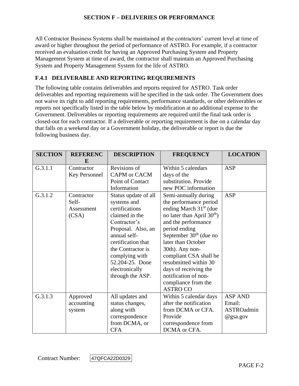All Contractor Business Systems shall be maintained at the contractors' current level at time of award or higher throughout the period of performance of ASTRO. For example, if a contractor received an evaluation credit for having an Approved Purchasing System and Property Management System at time of award, the contractor shall maintain an Approved Purchasing System and Property Management System for the life of ASTRO.

#### **F.4.1 DELIVERABLE AND REPORTING REQUIREMENTS**

The following table contains deliverables and reports required for ASTRO. Task order deliverables and reporting requirements will be specified in the task order. The Government does not waive its right to add reporting requirements, performance standards, or other deliverables or reports not specifically listed in the table below by modification at no additional expense to the Government. Deliverables or reporting requirements are required until the final task order is closed-out for each contractor. If a deliverable or reporting requirement is due on a calendar day that falls on a weekend day or a Government holiday, the deliverable or report is due the following business day.

| <b>SECTION</b> | <b>REFERENC</b><br>E                       | <b>DESCRIPTION</b>                                                                                                                                                                                                                                  | <b>FREQUENCY</b>                                                                                                                                                                                                                                                                                                                                                                | <b>LOCATION</b>                                    |
|----------------|--------------------------------------------|-----------------------------------------------------------------------------------------------------------------------------------------------------------------------------------------------------------------------------------------------------|---------------------------------------------------------------------------------------------------------------------------------------------------------------------------------------------------------------------------------------------------------------------------------------------------------------------------------------------------------------------------------|----------------------------------------------------|
| G.3.1.1        | Contractor<br>Key Personnel                | Revisions of<br>CAPM or CACM<br>Point of Contact<br>Information                                                                                                                                                                                     | Within 5 calendars<br>days of the<br>substitution. Provide<br>new POC information                                                                                                                                                                                                                                                                                               | <b>ASP</b>                                         |
| G.3.1.2        | Contractor<br>Self-<br>Assessment<br>(CSA) | Status update of all<br>systems and<br>certifications<br>claimed in the<br>Contractor's<br>Proposal. Also, an<br>annual self-<br>certification that<br>the Contractor is<br>complying with<br>52.204-25. Done<br>electronically<br>through the ASP. | Semi-annually during<br>the performance period<br>ending March $31st$ (due<br>no later than April 30 <sup>th</sup> )<br>and the performance<br>period ending<br>September $30th$ (due no<br>later than October<br>30th). Any non-<br>compliant CSA shall be<br>resubmitted within 30<br>days of receiving the<br>notification of non-<br>compliance from the<br><b>ASTRO CO</b> | <b>ASP</b>                                         |
| G.3.1.3        | Approved<br>accounting<br>system           | All updates and<br>status changes,<br>along with<br>correspondence<br>from DCMA, or<br><b>CFA</b>                                                                                                                                                   | Within 5 calendar days<br>after the notification<br>from DCMA or CFA.<br>Provide<br>correspondence from<br>DCMA or CFA.                                                                                                                                                                                                                                                         | <b>ASP AND</b><br>Email:<br>ASTROadmin<br>@gsa.gov |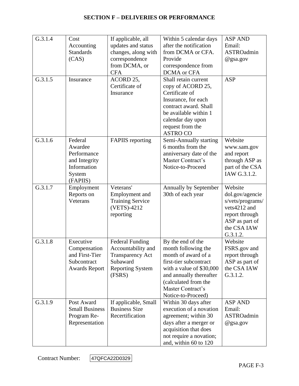| G.3.1.4 | Cost<br>Accounting<br><b>Standards</b><br>(CAS)                                         | If applicable, all<br>updates and status<br>changes, along with<br>correspondence<br>from DCMA, or<br><b>CFA</b>         | Within 5 calendar days<br>after the notification<br>from DCMA or CFA.<br>Provide<br>correspondence from<br>DCMA or CFA                                                                                              | <b>ASP AND</b><br>Email:<br>ASTROadmin<br>@gsa.gov                                                                            |
|---------|-----------------------------------------------------------------------------------------|--------------------------------------------------------------------------------------------------------------------------|---------------------------------------------------------------------------------------------------------------------------------------------------------------------------------------------------------------------|-------------------------------------------------------------------------------------------------------------------------------|
| G.3.1.5 | Insurance                                                                               | ACORD 25,<br>Certificate of<br>Insurance                                                                                 | Shall retain current<br>copy of ACORD 25,<br>Certificate of<br>Insurance, for each<br>contract award. Shall<br>be available within 1<br>calendar day upon<br>request from the<br><b>ASTRO CO</b>                    | <b>ASP</b>                                                                                                                    |
| G.3.1.6 | Federal<br>Awardee<br>Performance<br>and Integrity<br>Information<br>System<br>(FAPIIS) | <b>FAPIIS</b> reporting                                                                                                  | Semi-Annually starting<br>6 months from the<br>anniversary date of the<br>Master Contract's<br>Notice-to-Proceed                                                                                                    | Website<br>www.sam.gov<br>and report<br>through ASP as<br>part of the CSA<br>IAW G.3.1.2.                                     |
| G.3.1.7 | Employment<br>Reports on<br>Veterans                                                    | Veterans'<br>Employment and<br><b>Training Service</b><br>(VETS)-4212<br>reporting                                       | Annually by September<br>30th of each year                                                                                                                                                                          | Website<br>dol.gov/agencie<br>s/vets/programs/<br>vets4212 and<br>report through<br>ASP as part of<br>the CSA IAW<br>G.3.1.2. |
| G.3.1.8 | Executive<br>Compensation<br>and First-Tier<br>Subcontract<br><b>Awards Report</b>      | <b>Federal Funding</b><br>Accountability and<br><b>Transparency Act</b><br>Subaward<br><b>Reporting System</b><br>(FSRS) | By the end of the<br>month following the<br>month of award of a<br>first-tier subcontract<br>with a value of \$30,000<br>and annually thereafter<br>(calculated from the<br>Master Contract's<br>Notice-to-Proceed) | Website<br>FSRS.gov and<br>report through<br>ASP as part of<br>the CSA IAW<br>G.3.1.2.                                        |
| G.3.1.9 | Post Award<br><b>Small Business</b><br>Program Re-<br>Representation                    | If applicable, Small<br><b>Business Size</b><br>Recertification                                                          | Within 30 days after<br>execution of a novation<br>agreement; within 30<br>days after a merger or<br>acquisition that does<br>not require a novation;<br>and, within 60 to 120                                      | <b>ASP AND</b><br>Email:<br>ASTROadmin<br>@gsa.gov                                                                            |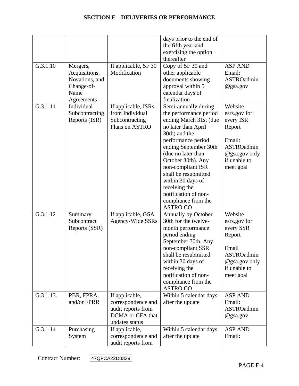|           |                                                                                 |                                                                                                  | days prior to the end of<br>the fifth year and<br>exercising the option<br>thereafter                                                                                                                                                                                                                                                                            |                                                                                                                             |
|-----------|---------------------------------------------------------------------------------|--------------------------------------------------------------------------------------------------|------------------------------------------------------------------------------------------------------------------------------------------------------------------------------------------------------------------------------------------------------------------------------------------------------------------------------------------------------------------|-----------------------------------------------------------------------------------------------------------------------------|
| G.3.1.10  | Mergers,<br>Acquisitions,<br>Novations, and<br>Change-of-<br>Name<br>Agreements | If applicable, SF 30<br>Modification                                                             | Copy of SF 30 and<br>other applicable<br>documents showing<br>approval within 5<br>calendar days of<br>finalization                                                                                                                                                                                                                                              | <b>ASP AND</b><br>Email:<br>ASTROadmin<br>@gsa.gov                                                                          |
| G.3.1.11  | Individual<br>Subcontracting<br>Reports (ISR)                                   | If applicable, ISRs<br>from Individual<br>Subcontracting<br>Plans on ASTRO                       | Semi-annually during<br>the performance period<br>ending March 31st (due<br>no later than April<br>30th) and the<br>performance period<br>ending September 30th<br>(due no later than<br>October 30th). Any<br>non-compliant ISR<br>shall be resubmitted<br>within 30 days of<br>receiving the<br>notification of non-<br>compliance from the<br><b>ASTRO CO</b> | Website<br>esrs.gov for<br>every ISR<br>Report<br>Email:<br><b>ASTROadmin</b><br>@gsa.gov only<br>if unable to<br>meet goal |
| G.3.1.12  | Summary<br>Subcontract<br>Reports (SSR)                                         | If applicable, GSA<br>Agency-Wide SSRs                                                           | Annually by October<br>30th for the twelve-<br>month performance<br>period ending<br>September 30th. Any<br>non-compliant SSR<br>shall be resubmitted<br>within 30 days of<br>receiving the<br>notification of non-<br>compliance from the<br><b>ASTRO CO</b>                                                                                                    | Website<br>esrs.gov for<br>every SSR<br>Report<br>Email<br><b>ASTROadmin</b><br>@gsa.gov only<br>if unable to<br>meet goal  |
| G.3.1.13. | PBR, FPRA,<br>and/or FPRR                                                       | If applicable,<br>correspondence and<br>audit reports from<br>DCMA or CFA that<br>updates status | Within 5 calendar days<br>after the update                                                                                                                                                                                                                                                                                                                       | <b>ASP AND</b><br>Email:<br><b>ASTROadmin</b><br>@gsa.gov                                                                   |
| G.3.1.14  | Purchasing<br>System                                                            | If applicable,<br>correspondence and<br>audit reports from                                       | Within 5 calendar days<br>after the update                                                                                                                                                                                                                                                                                                                       | <b>ASP AND</b><br>Email:                                                                                                    |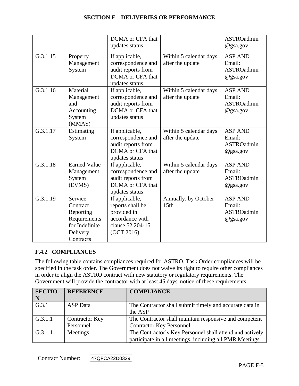|          |                                                                                             | DCMA or CFA that<br>updates status                                                                     |                                            | <b>ASTROadmin</b><br>$@$ gsa.gov                             |
|----------|---------------------------------------------------------------------------------------------|--------------------------------------------------------------------------------------------------------|--------------------------------------------|--------------------------------------------------------------|
| G.3.1.15 | Property<br>Management<br>System                                                            | If applicable,<br>correspondence and<br>audit reports from<br>DCMA or CFA that<br>updates status       | Within 5 calendar days<br>after the update | <b>ASP AND</b><br>Email:<br><b>ASTROadmin</b><br>@gsa.gov    |
| G.3.1.16 | Material<br>Management<br>and<br>Accounting<br>System<br>(MMAS)                             | If applicable,<br>correspondence and<br>audit reports from<br>DCMA or CFA that<br>updates status       | Within 5 calendar days<br>after the update | <b>ASP AND</b><br>Email:<br><b>ASTROadmin</b><br>@gsa.gov    |
| G.3.1.17 | Estimating<br>System                                                                        | If applicable,<br>correspondence and<br>audit reports from<br>DCMA or CFA that<br>updates status       | Within 5 calendar days<br>after the update | <b>ASP AND</b><br>Email:<br><b>ASTROadmin</b><br>$@$ gsa.gov |
| G.3.1.18 | <b>Earned Value</b><br>Management<br>System<br>(EVMS)                                       | If applicable,<br>correspondence and<br>audit reports from<br>DCMA or CFA that<br>updates status       | Within 5 calendar days<br>after the update | <b>ASP AND</b><br>Email:<br><b>ASTROadmin</b><br>$@$ gsa.gov |
| G.3.1.19 | Service<br>Contract<br>Reporting<br>Requirements<br>for Indefinite<br>Delivery<br>Contracts | If applicable,<br>reports shall be<br>provided in<br>accordance with<br>clause 52.204-15<br>(OCT 2016) | Annually, by October<br>15th               | <b>ASP AND</b><br>Email:<br><b>ASTROadmin</b><br>@gsa.gov    |

#### **F.4.2 COMPLIANCES**

The following table contains compliances required for ASTRO. Task Order compliances will be specified in the task order. The Government does not waive its right to require other compliances in order to align the ASTRO contract with new statutory or regulatory requirements. The Government will provide the contractor with at least 45 days' notice of these requirements.

| <b>SECTIO</b>            | <b>REFERENCE</b>      | <b>COMPLIANCE</b>                                        |
|--------------------------|-----------------------|----------------------------------------------------------|
| $\overline{\phantom{a}}$ |                       |                                                          |
| G.3.1                    | <b>ASP</b> Data       | The Contractor shall submit timely and accurate data in  |
|                          |                       | the ASP                                                  |
| G.3.1.1                  | <b>Contractor Key</b> | The Contractor shall maintain responsive and competent   |
|                          | Personnel             | <b>Contractor Key Personnel</b>                          |
| G.3.1.1                  | Meetings              | The Contractor's Key Personnel shall attend and actively |
|                          |                       | participate in all meetings, including all PMR Meetings  |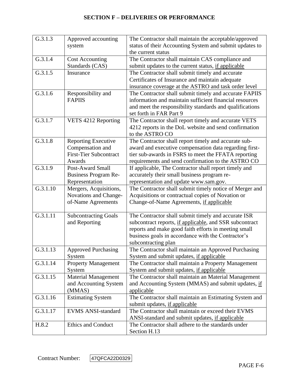| G.3.1.3  | Approved accounting           | The Contractor shall maintain the acceptable/approved    |
|----------|-------------------------------|----------------------------------------------------------|
|          | system                        | status of their Accounting System and submit updates to  |
|          |                               | the current status                                       |
| G.3.1.4  | <b>Cost Accounting</b>        | The Contractor shall maintain CAS compliance and         |
|          | Standards (CAS)               | submit updates to the current status, if applicable      |
| G.3.1.5  | Insurance                     | The Contractor shall submit timely and accurate          |
|          |                               | Certificates of Insurance and maintain adequate          |
|          |                               | insurance coverage at the ASTRO and task order level     |
| G.3.1.6  | Responsibility and            | The Contractor shall submit timely and accurate FAPIIS   |
|          | <b>FAPIIS</b>                 | information and maintain sufficient financial resources  |
|          |                               | and meet the responsibility standards and qualifications |
|          |                               | set forth in FAR Part 9                                  |
| G.3.1.7  | VETS 4212 Reporting           | The Contractor shall report timely and accurate VETS     |
|          |                               | 4212 reports in the DoL website and send confirmation    |
|          |                               | to the ASTRO CO                                          |
| G.3.1.8  | <b>Reporting Executive</b>    | The Contractor shall report timely and accurate sub-     |
|          | Compensation and              | award and executive compensation data regarding first-   |
|          | <b>First-Tier Subcontract</b> | tier sub-awards in FSRS to meet the FFATA reporting      |
|          | Awards                        | requirements and send confirmation to the ASTRO CO       |
| G.3.1.9  | <b>Post-Award Small</b>       | If applicable, The Contractor shall report timely and    |
|          | <b>Business Program Re-</b>   | accurately their small business program re-              |
|          | Representation                | representation and update www.sam.gov.                   |
| G.3.1.10 | Mergers, Acquisitions,        | The Contractor shall submit timely notice of Merger and  |
|          | Novations and Change-         | Acquisitions or contractual copies of Novation or        |
|          | of-Name Agreements            | Change-of-Name Agreements, if applicable                 |
|          |                               |                                                          |
| G.3.1.11 | <b>Subcontracting Goals</b>   | The Contractor shall submit timely and accurate ISR      |
|          | and Reporting                 | subcontract reports, if applicable, and SSR subcontract  |
|          |                               | reports and make good faith efforts in meeting small     |
|          |                               | business goals in accordance with the Contractor's       |
|          |                               | subcontracting plan                                      |
| G.3.1.13 | <b>Approved Purchasing</b>    | The Contractor shall maintain an Approved Purchasing     |
|          | System                        | System and submit updates, if applicable                 |
| G.3.1.14 | <b>Property Management</b>    | The Contractor shall maintain a Property Management      |
|          | System                        | System and submit updates, if applicable                 |
| G.3.1.15 | <b>Material Management</b>    | The Contractor shall maintain an Material Management     |
|          | and Accounting System         | and Accounting System (MMAS) and submit updates, if      |
|          | (MMAS)                        | applicable                                               |
| G.3.1.16 | <b>Estimating System</b>      | The Contractor shall maintain an Estimating System and   |
|          |                               | submit updates, if applicable                            |
| G.3.1.17 | <b>EVMS ANSI-standard</b>     | The Contractor shall maintain or exceed their EVMS       |
|          |                               | ANSI-standard and submit updates, if applicable          |
| H.8.2    | Ethics and Conduct            | The Contractor shall adhere to the standards under       |
|          |                               | Section H.13                                             |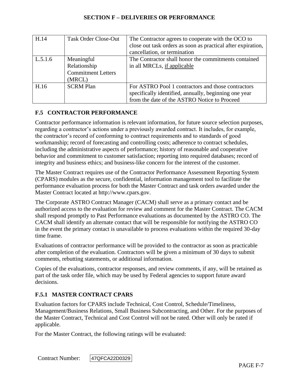| H.14    | <b>Task Order Close-Out</b>                                       | The Contractor agrees to cooperate with the OCO to<br>close out task orders as soon as practical after expiration,<br>cancellation, or termination          |
|---------|-------------------------------------------------------------------|-------------------------------------------------------------------------------------------------------------------------------------------------------------|
| L.5.1.6 | Meaningful<br>Relationship<br><b>Commitment Letters</b><br>(MRCL) | The Contractor shall honor the commitments contained<br>in all MRCLs, if applicable                                                                         |
| H.16    | <b>SCRM Plan</b>                                                  | For ASTRO Pool 1 contractors and those contractors<br>specifically identified, annually, beginning one year<br>from the date of the ASTRO Notice to Proceed |

#### **F.5 CONTRACTOR PERFORMANCE**

Contractor performance information is relevant information, for future source selection purposes, regarding a contractor's actions under a previously awarded contract. It includes, for example, the contractor's record of conforming to contract requirements and to standards of good workmanship; record of forecasting and controlling costs; adherence to contract schedules, including the administrative aspects of performance; history of reasonable and cooperative behavior and commitment to customer satisfaction; reporting into required databases; record of integrity and business ethics; and business-like concern for the interest of the customer.

The Master Contract requires use of the Contractor Performance Assessment Reporting System (CPARS) modules as the secure, confidential, information management tool to facilitate the performance evaluation process for both the Master Contract and task orders awarded under the Master Contract located at http://www.cpars.gov.

The Corporate ASTRO Contract Manager (CACM) shall serve as a primary contact and be authorized access to the evaluation for review and comment for the Master Contract. The CACM shall respond promptly to Past Performance evaluations as documented by the ASTRO CO. The CACM shall identify an alternate contact that will be responsible for notifying the ASTRO CO in the event the primary contact is unavailable to process evaluations within the required 30-day time frame.

Evaluations of contractor performance will be provided to the contractor as soon as practicable after completion of the evaluation. Contractors will be given a minimum of 30 days to submit comments, rebutting statements, or additional information.

Copies of the evaluations, contractor responses, and review comments, if any, will be retained as part of the task order file, which may be used by Federal agencies to support future award decisions.

#### **F.5.1 MASTER CONTRACT CPARS**

Evaluation factors for CPARS include Technical, Cost Control, Schedule/Timeliness, Management/Business Relations, Small Business Subcontracting, and Other. For the purposes of the Master Contract, Technical and Cost Control will not be rated. Other will only be rated if applicable.

For the Master Contract, the following ratings will be evaluated: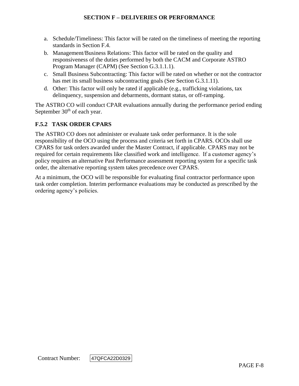- a. Schedule/Timeliness: This factor will be rated on the timeliness of meeting the reporting standards in Section F.4.
- b. Management/Business Relations: This factor will be rated on the quality and responsiveness of the duties performed by both the CACM and Corporate ASTRO Program Manager (CAPM) (See Section G.3.1.1.1).
- c. Small Business Subcontracting: This factor will be rated on whether or not the contractor has met its small business subcontracting goals (See Section G.3.1.11).
- d. Other: This factor will only be rated if applicable (e.g., trafficking violations, tax delinquency, suspension and debarments, dormant status, or off-ramping.

The ASTRO CO will conduct CPAR evaluations annually during the performance period ending September  $30<sup>th</sup>$  of each year.

#### **F.5.2 TASK ORDER CPARS**

The ASTRO CO does not administer or evaluate task order performance. It is the sole responsibility of the OCO using the process and criteria set forth in CPARS. OCOs shall use CPARS for task orders awarded under the Master Contract, if applicable. CPARS may not be required for certain requirements like classified work and intelligence. If a customer agency's policy requires an alternative Past Performance assessment reporting system for a specific task order, the alternative reporting system takes precedence over CPARS.

At a minimum, the OCO will be responsible for evaluating final contractor performance upon task order completion. Interim performance evaluations may be conducted as prescribed by the ordering agency's policies.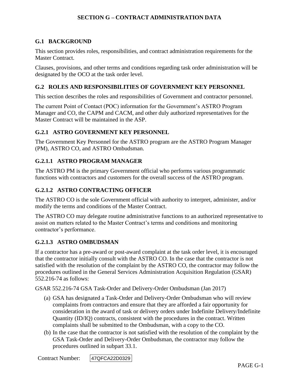#### **G.1 BACKGROUND**

This section provides roles, responsibilities, and contract administration requirements for the Master Contract.

Clauses, provisions, and other terms and conditions regarding task order administration will be designated by the OCO at the task order level.

#### **G.2 ROLES AND RESPONSIBILITIES OF GOVERNMENT KEY PERSONNEL**

This section describes the roles and responsibilities of Government and contractor personnel.

The current Point of Contact (POC) information for the Government's ASTRO Program Manager and CO, the CAPM and CACM, and other duly authorized representatives for the Master Contract will be maintained in the ASP.

#### **G.2.1 ASTRO GOVERNMENT KEY PERSONNEL**

The Government Key Personnel for the ASTRO program are the ASTRO Program Manager (PM), ASTRO CO, and ASTRO Ombudsman.

#### **G.2.1.1 ASTRO PROGRAM MANAGER**

The ASTRO PM is the primary Government official who performs various programmatic functions with contractors and customers for the overall success of the ASTRO program.

#### **G.2.1.2 ASTRO CONTRACTING OFFICER**

The ASTRO CO is the sole Government official with authority to interpret, administer, and/or modify the terms and conditions of the Master Contract.

The ASTRO CO may delegate routine administrative functions to an authorized representative to assist on matters related to the Master Contract's terms and conditions and monitoring contractor's performance.

#### **G.2.1.3 ASTRO OMBUDSMAN**

If a contractor has a pre-award or post-award complaint at the task order level, it is encouraged that the contractor initially consult with the ASTRO CO. In the case that the contractor is not satisfied with the resolution of the complaint by the ASTRO CO, the contractor may follow the procedures outlined in the General Services Administration Acquisition Regulation (GSAR) 552.216-74 as follows:

GSAR 552.216-74 GSA Task-Order and Delivery-Order Ombudsman (Jan 2017)

- (a) GSA has designated a Task-Order and Delivery-Order Ombudsman who will review complaints from contractors and ensure that they are afforded a fair opportunity for consideration in the award of task or delivery orders under Indefinite Delivery/Indefinite Quantity (ID/IQ) contracts, consistent with the procedures in the contract. Written complaints shall be submitted to the Ombudsman, with a copy to the CO.
- (b) In the case that the contractor is not satisfied with the resolution of the complaint by the GSA Task-Order and Delivery-Order Ombudsman, the contractor may follow the procedures outlined in subpart 33.1.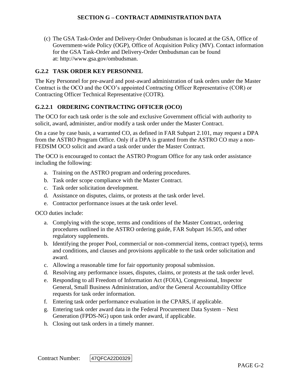(c) The GSA Task-Order and Delivery-Order Ombudsman is located at the GSA, Office of Government-wide Policy (OGP), Office of Acquisition Policy (MV). Contact information for the GSA Task-Order and Delivery-Order Ombudsman can be found at: http://www.gsa.gov/ombudsman.

#### **G.2.2 TASK ORDER KEY PERSONNEL**

The Key Personnel for pre-award and post-award administration of task orders under the Master Contract is the OCO and the OCO's appointed Contracting Officer Representative (COR) or Contracting Officer Technical Representative (COTR).

#### **G.2.2.1 ORDERING CONTRACTING OFFICER (OCO)**

The OCO for each task order is the sole and exclusive Government official with authority to solicit, award, administer, and/or modify a task order under the Master Contract.

On a case by case basis, a warranted CO, as defined in FAR Subpart 2.101, may request a DPA from the ASTRO Program Office. Only if a DPA is granted from the ASTRO CO may a non-FEDSIM OCO solicit and award a task order under the Master Contract.

The OCO is encouraged to contact the ASTRO Program Office for any task order assistance including the following:

- a. Training on the ASTRO program and ordering procedures.
- b. Task order scope compliance with the Master Contract.
- c. Task order solicitation development.
- d. Assistance on disputes, claims, or protests at the task order level.
- e. Contractor performance issues at the task order level.

OCO duties include:

- a. Complying with the scope, terms and conditions of the Master Contract, ordering procedures outlined in the ASTRO ordering guide, FAR Subpart 16.505, and other regulatory supplements.
- b. Identifying the proper Pool, commercial or non-commercial items, contract type(s), terms and conditions, and clauses and provisions applicable to the task order solicitation and award.
- c. Allowing a reasonable time for fair opportunity proposal submission.
- d. Resolving any performance issues, disputes, claims, or protests at the task order level.
- e. Responding to all Freedom of Information Act (FOIA), Congressional, Inspector General, Small Business Administration, and/or the General Accountability Office requests for task order information.
- f. Entering task order performance evaluation in the CPARS, if applicable.
- g. Entering task order award data in the Federal Procurement Data System Next Generation (FPDS-NG) upon task order award, if applicable.
- h. Closing out task orders in a timely manner.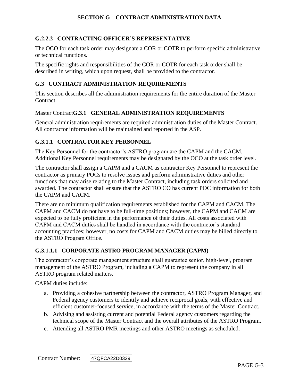#### **G.2.2.2 CONTRACTING OFFICER'S REPRESENTATIVE**

The OCO for each task order may designate a COR or COTR to perform specific administrative or technical functions.

The specific rights and responsibilities of the COR or COTR for each task order shall be described in writing, which upon request, shall be provided to the contractor.

#### **G.3 CONTRACT ADMINISTRATION REQUIREMENTS**

This section describes all the administration requirements for the entire duration of the Master Contract.

#### Master Contract**G.3.1 GENERAL ADMINISTRATION REQUIREMENTS**

General administration requirements are required administration duties of the Master Contract. All contractor information will be maintained and reported in the ASP.

#### **G.3.1.1 CONTRACTOR KEY PERSONNEL**

The Key Personnel for the contractor's ASTRO program are the CAPM and the CACM. Additional Key Personnel requirements may be designated by the OCO at the task order level.

The contractor shall assign a CAPM and a CACM as contractor Key Personnel to represent the contractor as primary POCs to resolve issues and perform administrative duties and other functions that may arise relating to the Master Contract, including task orders solicited and awarded. The contractor shall ensure that the ASTRO CO has current POC information for both the CAPM and CACM.

There are no minimum qualification requirements established for the CAPM and CACM. The CAPM and CACM do not have to be full-time positions; however, the CAPM and CACM are expected to be fully proficient in the performance of their duties. All costs associated with CAPM and CACM duties shall be handled in accordance with the contractor's standard accounting practices; however, no costs for CAPM and CACM duties may be billed directly to the ASTRO Program Office.

#### **G.3.1.1.1 CORPORATE ASTRO PROGRAM MANAGER (CAPM)**

The contractor's corporate management structure shall guarantee senior, high-level, program management of the ASTRO Program, including a CAPM to represent the company in all ASTRO program related matters.

CAPM duties include:

- a. Providing a cohesive partnership between the contractor, ASTRO Program Manager, and Federal agency customers to identify and achieve reciprocal goals, with effective and efficient customer-focused service, in accordance with the terms of the Master Contract.
- b. Advising and assisting current and potential Federal agency customers regarding the technical scope of the Master Contract and the overall attributes of the ASTRO Program.
- c. Attending all ASTRO PMR meetings and other ASTRO meetings as scheduled.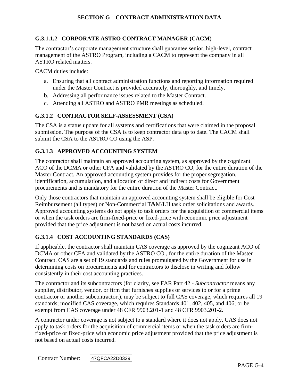#### **G.3.1.1.2 CORPORATE ASTRO CONTRACT MANAGER (CACM)**

The contractor's corporate management structure shall guarantee senior, high-level, contract management of the ASTRO Program, including a CACM to represent the company in all ASTRO related matters.

CACM duties include:

- a. Ensuring that all contract administration functions and reporting information required under the Master Contract is provided accurately, thoroughly, and timely.
- b. Addressing all performance issues related to the Master Contract.
- c. Attending all ASTRO and ASTRO PMR meetings as scheduled.

#### **G.3.1.2 CONTRACTOR SELF-ASSESSMENT (CSA)**

The CSA is a status update for all systems and certifications that were claimed in the proposal submission. The purpose of the CSA is to keep contractor data up to date. The CACM shall submit the CSA to the ASTRO CO using the ASP.

#### **G.3.1.3 APPROVED ACCOUNTING SYSTEM**

The contractor shall maintain an approved accounting system, as approved by the cognizant ACO of the DCMA or other CFA and validated by the ASTRO CO, for the entire duration of the Master Contract. An approved accounting system provides for the proper segregation, identification, accumulation, and allocation of direct and indirect costs for Government procurements and is mandatory for the entire duration of the Master Contract.

Only those contractors that maintain an approved accounting system shall be eligible for Cost Reimbursement (all types) or Non-Commercial T&M/LH task order solicitations and awards. Approved accounting systems do not apply to task orders for the acquisition of commercial items or when the task orders are firm-fixed-price or fixed-price with economic price adjustment provided that the price adjustment is not based on actual costs incurred.

#### **G.3.1.4 COST ACCOUNTING STANDARDS (CAS)**

If applicable, the contractor shall maintain CAS coverage as approved by the cognizant ACO of DCMA or other CFA and validated by the ASTRO CO , for the entire duration of the Master Contract. CAS are a set of 19 standards and rules promulgated by the Government for use in determining costs on procurements and for contractors to disclose in writing and follow consistently in their cost accounting practices.

The contractor and its subcontractors (for clarity, see FAR Part 42 - *Subcontractor* means any supplier, distributor, vendor, or firm that furnishes supplies or services to or for a prime contractor or another subcontractor.), may be subject to full CAS coverage, which requires all 19 standards; modified CAS coverage, which requires Standards 401, 402, 405, and 406; or be exempt from CAS coverage under 48 CFR 9903.201-1 and 48 CFR 9903.201-2.

A contractor under coverage is not subject to a standard where it does not apply. CAS does not apply to task orders for the acquisition of commercial items or when the task orders are firmfixed-price or fixed-price with economic price adjustment provided that the price adjustment is not based on actual costs incurred.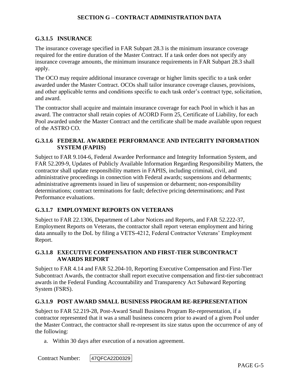## **G.3.1.5 INSURANCE**

The insurance coverage specified in FAR Subpart 28.3 is the minimum insurance coverage required for the entire duration of the Master Contract. If a task order does not specify any insurance coverage amounts, the minimum insurance requirements in FAR Subpart 28.3 shall apply.

The OCO may require additional insurance coverage or higher limits specific to a task order awarded under the Master Contract. OCOs shall tailor insurance coverage clauses, provisions, and other applicable terms and conditions specific to each task order's contract type, solicitation, and award.

The contractor shall acquire and maintain insurance coverage for each Pool in which it has an award. The contractor shall retain copies of ACORD Form 25, Certificate of Liability, for each Pool awarded under the Master Contract and the certificate shall be made available upon request of the ASTRO CO.

## **G.3.1.6 FEDERAL AWARDEE PERFORMANCE AND INTEGRITY INFORMATION SYSTEM (FAPIIS)**

Subject to FAR 9.104-6, Federal Awardee Performance and Integrity Information System, and FAR 52.209-9, Updates of Publicly Available Information Regarding Responsibility Matters, the contractor shall update responsibility matters in FAPIIS, including criminal, civil, and administrative proceedings in connection with Federal awards; suspensions and debarments; administrative agreements issued in lieu of suspension or debarment; non-responsibility determinations; contract terminations for fault; defective pricing determinations; and Past Performance evaluations.

## **G.3.1.7 EMPLOYMENT REPORTS ON VETERANS**

Subject to FAR 22.1306, Department of Labor Notices and Reports, and FAR 52.222-37, Employment Reports on Veterans, the contractor shall report veteran employment and hiring data annually to the DoL by filing a VETS-4212, Federal Contractor Veterans' Employment Report.

### **G.3.1.8 EXECUTIVE COMPENSATION AND FIRST-TIER SUBCONTRACT AWARDS REPORT**

Subject to FAR 4.14 and FAR 52.204-10, Reporting Executive Compensation and First-Tier Subcontract Awards, the contractor shall report executive compensation and first-tier subcontract awards in the Federal Funding Accountability and Transparency Act Subaward Reporting System (FSRS).

## **G.3.1.9 POST AWARD SMALL BUSINESS PROGRAM RE-REPRESENTATION**

Subject to FAR 52.219-28, Post-Award Small Business Program Re-representation, if a contractor represented that it was a small business concern prior to award of a given Pool under the Master Contract, the contractor shall re-represent its size status upon the occurrence of any of the following:

a. Within 30 days after execution of a novation agreement.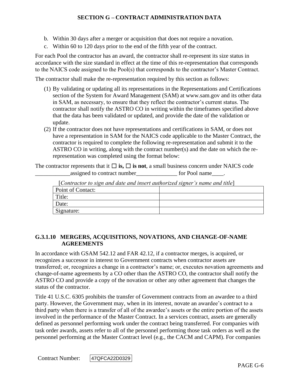- b. Within 30 days after a merger or acquisition that does not require a novation.
- c. Within 60 to 120 days prior to the end of the fifth year of the contract.

For each Pool the contractor has an award, the contractor shall re-represent its size status in accordance with the size standard in effect at the time of this re-representation that corresponds to the NAICS code assigned to the Pool(s) that corresponds to the contractor's Master Contract.

The contractor shall make the re-representation required by this section as follows:

- (1) By validating or updating all its representations in the Representations and Certifications section of the System for Award Management (SAM) at www.sam.gov and its other data in SAM, as necessary, to ensure that they reflect the contractor's current status. The contractor shall notify the ASTRO CO in writing within the timeframes specified above that the data has been validated or updated, and provide the date of the validation or update.
- (2) If the contractor does not have representations and certifications in SAM, or does not have a representation in SAM for the NAICS code applicable to the Master Contract, the contractor is required to complete the following re-representation and submit it to the ASTRO CO in writing, along with the contract number(s) and the date on which the rerepresentation was completed using the format below:

The contractor represents that it  $\Box$  **is,**  $\Box$  **is not**, a small business concern under NAICS code assigned to contract number<br>
<u>equals</u> for Pool name

| $\lceil$ Contractor to sign and date and insert dumorized signer s name and title $\lceil$ |  |  |
|--------------------------------------------------------------------------------------------|--|--|
| <b>Point of Contact:</b>                                                                   |  |  |
| Title:                                                                                     |  |  |
| Date:                                                                                      |  |  |
| Signature:                                                                                 |  |  |

[*Contractor to sign and date and insert authorized signer's name and title*]

## **G.3.1.10 MERGERS, ACQUISITIONS, NOVATIONS, AND CHANGE-OF-NAME AGREEMENTS**

In accordance with GSAM 542.12 and FAR 42.12, if a contractor merges, is acquired, or recognizes a successor in interest to Government contracts when contractor assets are transferred; or, recognizes a change in a contractor's name; or, executes novation agreements and change-of-name agreements by a CO other than the ASTRO CO, the contractor shall notify the ASTRO CO and provide a copy of the novation or other any other agreement that changes the status of the contractor.

Title 41 U.S.C. 6305 prohibits the transfer of Government contracts from an awardee to a third party. However, the Government may, when in its interest, novate an awardee's contract to a third party when there is a transfer of all of the awardee's assets or the entire portion of the assets involved in the performance of the Master Contract. In a services contract, assets are generally defined as personnel performing work under the contract being transferred. For companies with task order awards, assets refer to all of the personnel performing those task orders as well as the personnel performing at the Master Contract level (e.g., the CACM and CAPM). For companies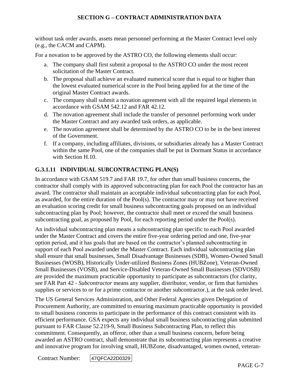without task order awards, assets mean personnel performing at the Master Contract level only (e.g., the CACM and CAPM).

For a novation to be approved by the ASTRO CO, the following elements shall occur:

- a. The company shall first submit a proposal to the ASTRO CO under the most recent solicitation of the Master Contract.
- b. The proposal shall achieve an evaluated numerical score that is equal to or higher than the lowest evaluated numerical score in the Pool being applied for at the time of the original Master Contract awards.
- c. The company shall submit a novation agreement with all the required legal elements in accordance with GSAM 542.12 and FAR 42.12.
- d. The novation agreement shall include the transfer of personnel performing work under the Master Contract and any awarded task orders, as applicable.
- e. The novation agreement shall be determined by the ASTRO CO to be in the best interest of the Government.
- f. If a company, including affiliates, divisions, or subsidiaries already has a Master Contract within the same Pool, one of the companies shall be put in Dormant Status in accordance with Section H.10.

## **G.3.1.11 INDIVIDUAL SUBCONTRACTING PLAN(S)**

In accordance with GSAM 519.7 and FAR 19.7, for other than small business concerns, the contractor shall comply with its approved subcontracting plan for each Pool the contractor has an award. The contractor shall maintain an acceptable individual subcontracting plan for each Pool, as awarded, for the entire duration of the Pool(s). The contractor may or may not have received an evaluation scoring credit for small business subcontracting goals proposed on an individual subcontracting plan by Pool; however, the contractor shall meet or exceed the small business subcontracting goal, as proposed by Pool, for each reporting period under the Pool(s).

An individual subcontracting plan means a subcontracting plan specific to each Pool awarded under the Master Contract and covers the entire five-year ordering period and one, five-year option period, and it has goals that are based on the contractor's planned subcontracting in support of each Pool awarded under the Master Contract. Each individual subcontracting plan shall ensure that small businesses, Small Disadvantage Businesses (SDB), Women-Owned Small Businesses (WOSB), Historically Under-utilized Business Zones (HUBZone), Veteran-Owned Small Businesses (VOSB), and Service-Disabled Veteran-Owned Small Businesses (SDVOSB) are provided the maximum practicable opportunity to participate as subcontractors (for clarity, see FAR Part 42 - *Subcontractor* means any supplier, distributor, vendor, or firm that furnishes supplies or services to or for a prime contractor or another subcontractor.), at the task order level.

The US General Services Administration, and Other Federal Agencies given Delegation of Procurement Authority, are committed to ensuring maximum practicable opportunity is provided to small business concerns to participate in the performance of this contract consistent with its efficient performance. GSA expects any individual small business subcontracting plan submitted pursuant to FAR Clause 52.219-9, Small Business Subcontracting Plan, to reflect this commitment. Consequently, an offeror, other than a small business concern, before being awarded an ASTRO contract, shall demonstrate that its subcontracting plan represents a creative and innovative program for involving small, HUBZone, disadvantaged, women owned, veteran-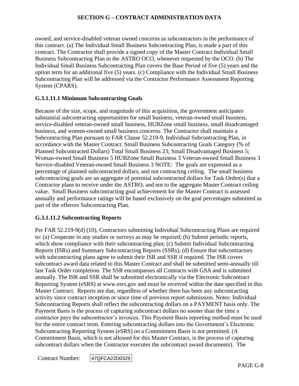owned, and service-disabled veteran owned concerns as subcontractors in the performance of this contract. (a) The Individual Small Business Subcontracting Plan, is made a part of this contract. The Contractor shall provide a signed copy of the Master Contract Individual Small Business Subcontracting Plan to the ASTRO OCO, whenever requested by the OCO. (b) The Individual Small Business Subcontracting Plan covers the Base Period of five (5) years and the option term for an additional five (5) years. (c) Compliance with the Individual Small Business Subcontracting Plan will be addressed via the Contractor Performance Assessment Reporting System (CPARS).

## **G.3.1.11.1 Minimum Subcontracting Goals**

Because of the size, scope, and magnitude of this acquisition, the government anticipates substantial subcontracting opportunities for small business, veteran-owned small business, service-disabled veteran-owned small business, HUBZone small business, small disadvantaged business, and women-owned small business concerns. The Contractor shall maintain a Subcontracting Plan pursuant to FAR Clause 52.219-9, Individual Subcontracting Plan, in accordance with the Master Contract. Small Business Subcontracting Goals Category (% of Planned Subcontracted Dollars) Total Small Business 23; Small Disadvantaged Business 5; Woman-owned Small Business 5 HUBZone Small Business 3 Veteran-owned Small Business 3 Service-disabled Veteran-owned Small Business 3 NOTE: The goals are expressed as a percentage of planned subcontracted dollars, and not contracting ceiling. The small business subcontracting goals are an aggregate of potential subcontracted dollars for Task Order(s) that a Contractor plans to receive under the ASTRO, and not to the aggregate Master Contract ceiling value. Small Business subcontracting goal achievement for the Master Contract is assessed annually and performance ratings will be based exclusively on the goal percentages submitted as part of the offerors Subcontracting Plan.

#### **G.3.1.11.2 Subcontracting Reports**

Per FAR 52.219-9(d) (10), Contractors submitting Individual Subcontracting Plans are required to: (a) Cooperate in any studies or surveys as may be required; (b) Submit periodic reports, which show compliance with their subcontracting plan; (c) Submit Individual Subcontracting Reports (ISRs) and Summary Subcontracting Reports (SSRs); (d) Ensure that subcontractors with subcontracting plans agree to submit their ISR and SSR if required. The ISR covers subcontract award data related to this Master Contract and shall be submitted semi-annually till last Task Order completion. The SSR encompasses all Contracts with GSA and is submitted annually. The ISR and SSR shall be submitted electronically via the Electronic Subcontract Reporting System (eSRS) at www.esrs.gov and must be received within the date specified in this Master Contract. Reports are due, regardless of whether there has been any subcontracting activity since contract inception or since time of previous report submission. Notes: Individual Subcontracting Reports shall reflect the subcontracting dollars on a PAYMENT basis only. The Payment Basis is the process of capturing subcontract dollars no sooner than the time a contractor pays the subcontractor's invoices. This Payment Basis reporting method must be used for the entire contract term. Entering subcontracting dollars into the Government's Electronic Subcontracting Reporting System (eSRS) on a Commitment Basis is not permitted. (A Commitment Basis, which is not allowed for this Master Contract, is the process of capturing subcontract dollars when the Contractor executes the subcontract award documents). The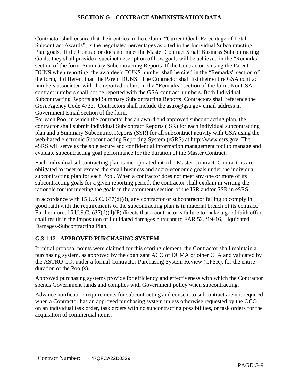Contractor shall ensure that their entries in the column "Current Goal: Percentage of Total Subcontract Awards", is the negotiated percentages as cited in the Individual Subcontracting Plan goals. If the Contractor does not meet the Master Contract Small Business Subcontracting Goals, they shall provide a succinct description of how goals will be achieved in the "Remarks" section of the form. Summary Subcontracting Reports If the Contractor is using the Parent DUNS when reporting, the awardee's DUNS number shall be cited in the "Remarks" section of the form, if different than the Parent DUNS. The Contractor shall list their entire GSA contract numbers associated with the reported dollars in the "Remarks" section of the form. NonGSA contract numbers shall not be reported with the GSA contract numbers. Both Individual Subcontracting Reports and Summary Subcontracting Reports Contractors shall reference the GSA Agency Code 4732. Contractors shall include the astro@gsa.gov email address in Government Email section of the form.

For each Pool in which the contractor has an award and approved subcontracting plan, the contractor shall submit Individual Subcontract Reports (ISR) for each individual subcontracting plan and a Summary Subcontract Reports (SSR) for all subcontract activity with GSA using the web-based electronic Subcontracting Reporting System (eSRS) at http://www.esrs.gov*.* The eSRS will serve as the sole secure and confidential information management tool to manage and evaluate subcontracting goal performance for the duration of the Master Contract.

Each individual subcontracting plan is incorporated into the Master Contract. Contractors are obligated to meet or exceed the small business and socio-economic goals under the individual subcontracting plan for each Pool. When a contractor does not meet any one or more of its subcontracting goals for a given reporting period, the contractor shall explain in writing the rationale for not meeting the goals in the comments section of the ISR and/or SSR in eSRS.

In accordance with 15 U.S.C. 637(d)(8), any contractor or subcontractor failing to comply in good faith with the requirements of the subcontracting plan is in material breach of its contract. Furthermore, 15 U.S.C. 637(d)(4)(F) directs that a contractor's failure to make a good faith effort shall result in the imposition of liquidated damages pursuant to FAR 52.219-16, Liquidated Damages-Subcontracting Plan.

## **G.3.1.12 APPROVED PURCHASING SYSTEM**

If initial proposal points were claimed for this scoring element, the Contractor shall maintain a purchasing system, as approved by the cognizant ACO of DCMA or other CFA and validated by the ASTRO CO, under a formal Contractor Purchasing System Review (CPSR), for the entire duration of the Pool(s).

Approved purchasing systems provide for efficiency and effectiveness with which the Contractor spends Government funds and complies with Government policy when subcontracting.

Advance notification requirements for subcontracting and consent to subcontract are not required when a Contractor has an approved purchasing system unless otherwise requested by the OCO on an individual task order, task orders with no subcontracting possibilities, or task orders for the acquisition of commercial items.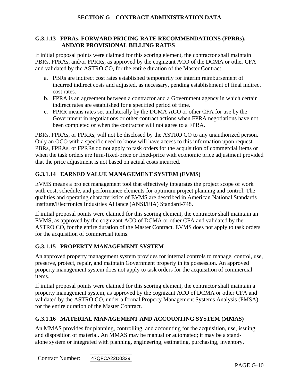### **G.3.1.13 FPRAs, FORWARD PRICING RATE RECOMMENDATIONS (FPRRs), AND/OR PROVISIONAL BILLING RATES**

If initial proposal points were claimed for this scoring element, the contractor shall maintain PBRs, FPRAs, and/or FPRRs, as approved by the cognizant ACO of the DCMA or other CFA and validated by the ASTRO CO, for the entire duration of the Master Contract.

- a. PBRs are indirect cost rates established temporarily for interim reimbursement of incurred indirect costs and adjusted, as necessary, pending establishment of final indirect cost rates.
- b. FPRA is an agreement between a contractor and a Government agency in which certain indirect rates are established for a specified period of time.
- c. FPRR means rates set unilaterally by the DCMA ACO or other CFA for use by the Government in negotiations or other contract actions when FPRA negotiations have not been completed or when the contractor will not agree to a FPRA.

PBRs, FPRAs, or FPRRs, will not be disclosed by the ASTRO CO to any unauthorized person. Only an OCO with a specific need to know will have access to this information upon request. PBRs, FPRAs, or FPRRs do not apply to task orders for the acquisition of commercial items or when the task orders are firm-fixed-price or fixed-price with economic price adjustment provided that the price adjustment is not based on actual costs incurred.

# **G.3.1.14 EARNED VALUE MANAGEMENT SYSTEM (EVMS)**

EVMS means a project management tool that effectively integrates the project scope of work with cost, schedule, and performance elements for optimum project planning and control. The qualities and operating characteristics of EVMS are described in American National Standards Institute/Electronics Industries Alliance (ANSI/EIA) Standard-748.

If initial proposal points were claimed for this scoring element, the contractor shall maintain an EVMS, as approved by the cognizant ACO of DCMA or other CFA and validated by the ASTRO CO, for the entire duration of the Master Contract. EVMS does not apply to task orders for the acquisition of commercial items.

# **G.3.1.15 PROPERTY MANAGEMENT SYSTEM**

An approved property management system provides for internal controls to manage, control, use, preserve, protect, repair, and maintain Government property in its possession. An approved property management system does not apply to task orders for the acquisition of commercial items.

If initial proposal points were claimed for this scoring element, the contractor shall maintain a property management system, as approved by the cognizant ACO of DCMA or other CFA and validated by the ASTRO CO, under a formal Property Management Systems Analysis (PMSA), for the entire duration of the Master Contract.

# **G.3.1.16 MATERIAL MANAGEMENT AND ACCOUNTING SYSTEM (MMAS)**

An MMAS provides for planning, controlling, and accounting for the acquisition, use, issuing, and disposition of material. An MMAS may be manual or automated; it may be a standalone system or integrated with planning, engineering, estimating, purchasing, inventory,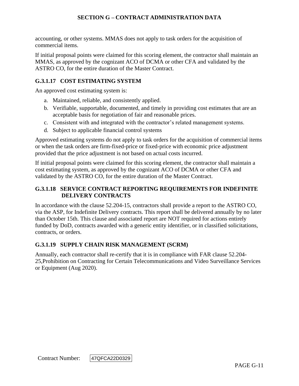accounting, or other systems. MMAS does not apply to task orders for the acquisition of commercial items.

If initial proposal points were claimed for this scoring element, the contractor shall maintain an MMAS, as approved by the cognizant ACO of DCMA or other CFA and validated by the ASTRO CO, for the entire duration of the Master Contract.

## **G.3.1.17 COST ESTIMATING SYSTEM**

An approved cost estimating system is:

- a. Maintained, reliable, and consistently applied.
- b. Verifiable, supportable, documented, and timely in providing cost estimates that are an acceptable basis for negotiation of fair and reasonable prices.
- c. Consistent with and integrated with the contractor's related management systems.
- d. Subject to applicable financial control systems

Approved estimating systems do not apply to task orders for the acquisition of commercial items or when the task orders are firm-fixed-price or fixed-price with economic price adjustment provided that the price adjustment is not based on actual costs incurred.

If initial proposal points were claimed for this scoring element, the contractor shall maintain a cost estimating system, as approved by the cognizant ACO of DCMA or other CFA and validated by the ASTRO CO, for the entire duration of the Master Contract.

## **G.3.1.18 SERVICE CONTRACT REPORTING REQUIREMENTS FOR INDEFINITE DELIVERY CONTRACTS**

In accordance with the clause 52.204-15, contractors shall provide a report to the ASTRO CO, via the ASP, for Indefinite Delivery contracts. This report shall be delivered annually by no later than October 15th. This clause and associated report are NOT required for actions entirely funded by DoD, contracts awarded with a generic entity identifier, or in classified solicitations, contracts, or orders.

## **G.3.1.19 SUPPLY CHAIN RISK MANAGEMENT (SCRM)**

Annually, each contractor shall re-certify that it is in compliance with FAR clause 52.204- 25,Prohibition on Contracting for Certain Telecommunications and Video Surveillance Services or Equipment (Aug 2020).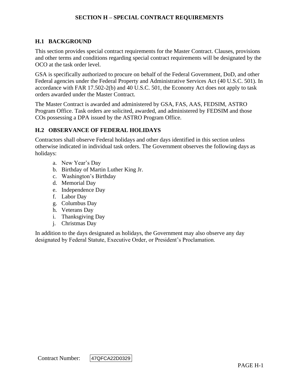## **H.1 BACKGROUND**

This section provides special contract requirements for the Master Contract. Clauses, provisions and other terms and conditions regarding special contract requirements will be designated by the OCO at the task order level.

GSA is specifically authorized to procure on behalf of the Federal Government, DoD, and other Federal agencies under the Federal Property and Administrative Services Act (40 U.S.C. 501). In accordance with FAR 17.502-2(b) and 40 U.S.C. 501, the Economy Act does not apply to task orders awarded under the Master Contract.

The Master Contract is awarded and administered by GSA, FAS, AAS, FEDSIM, ASTRO Program Office. Task orders are solicited, awarded, and administered by FEDSIM and those COs possessing a DPA issued by the ASTRO Program Office.

#### **H.2 OBSERVANCE OF FEDERAL HOLIDAYS**

Contractors shall observe Federal holidays and other days identified in this section unless otherwise indicated in individual task orders. The Government observes the following days as holidays:

- a. New Year's Day
- b. Birthday of Martin Luther King Jr.
- c. Washington's Birthday
- d. Memorial Day
- e. Independence Day
- f. Labor Day
- g. Columbus Day
- h. Veterans Day
- i. Thanksgiving Day
- j. Christmas Day

In addition to the days designated as holidays, the Government may also observe any day designated by Federal Statute, Executive Order, or President's Proclamation.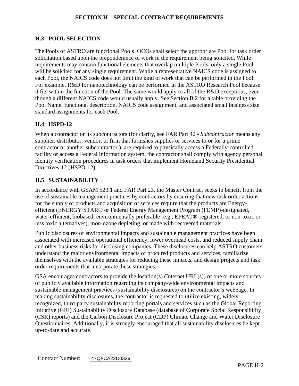## **H.3 POOL SELECTION**

The Pools of ASTRO are functional Pools. OCOs shall select the appropriate Pool for task order solicitation based upon the preponderance of work in the requirement being solicited. While requirements may contain functional elements that overlap multiple Pools, only a single Pool will be solicited for any single requirement. While a representative NAICS code is assigned to each Pool, the NAICS code does not limit the kind of work that can be performed in the Pool. For example, R&D for nanotechnology can be performed in the ASTRO Research Pool because it fits within the function of the Pool. The same would apply to all of the R&D exceptions, even though a different NAICS code would usually apply. See Section B.2 for a table providing the Pool Name, functional description, NAICS code assignment, and associated small business size standard assignments for each Pool.

### **H.4 HSPD-12**

When a contractor or its subcontractors (for clarity, see FAR Part 42 - *Subcontractor* means any supplier, distributor, vendor, or firm that furnishes supplies or services to or for a prime contractor or another subcontractor.), are required to physically access a Federally-controlled facility or access a Federal information system, the contractor shall comply with agency personal identity verification procedures in task orders that implement Homeland Security Presidential Directives-12 (HSPD-12).

### **H.5 SUSTAINABILITY**

In accordance with GSAM 523.1 and FAR Part 23, the Master Contract seeks to benefit from the use of sustainable management practices by contractors by ensuring that new task order actions for the supply of products and acquisition of services require that the products are Energyefficient (ENERGY STAR® or Federal Energy Management Program (FEMP)-designated, water-efficient, biobased, environmentally preferable (e.g., EPEAT®-registered, or non-toxic or less toxic alternatives), mon-ozone depleting, or made with recovered materials.

Public disclosures of environmental impacts and sustainable management practices have been associated with increased operational efficiency, lower overhead costs, and reduced supply chain and other business risks for disclosing companies. These disclosures can help ASTRO customers understand the major environmental impacts of procured products and services, familiarize themselves with the available strategies for reducing these impacts, and design projects and task order requirements that incorporate these strategies.

GSA encourages contractors to provide the location(s) (Internet  $URL(s)$ ) of one or more sources of publicly available information regarding its company-wide environmental impacts and sustainable management practices (sustainability disclosures) on the contractor's webpage. In making sustainability disclosures, the contractor is requested to utilize existing, widely recognized, third-party sustainability reporting portals and services such as the Global Reporting Initiative (GRI) Sustainability Disclosure Database (database of Corporate Social Responsibility (CSR) reports) and the Carbon Disclosure Project (CDP) Climate Change and Water Disclosure Questionnaires. Additionally, it is strongly encouraged that all sustainability disclosures be kept up-to-date and accurate.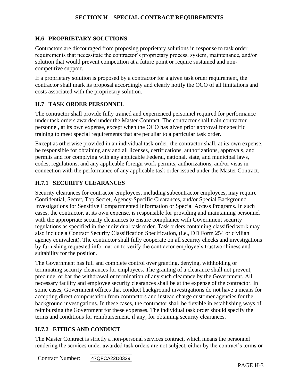### **H.6 PROPRIETARY SOLUTIONS**

Contractors are discouraged from proposing proprietary solutions in response to task order requirements that necessitate the contractor's proprietary process, system, maintenance, and/or solution that would prevent competition at a future point or require sustained and noncompetitive support.

If a proprietary solution is proposed by a contractor for a given task order requirement, the contractor shall mark its proposal accordingly and clearly notify the OCO of all limitations and costs associated with the proprietary solution.

#### **H.7 TASK ORDER PERSONNEL**

The contractor shall provide fully trained and experienced personnel required for performance under task orders awarded under the Master Contract. The contractor shall train contractor personnel, at its own expense, except when the OCO has given prior approval for specific training to meet special requirements that are peculiar to a particular task order.

Except as otherwise provided in an individual task order, the contractor shall, at its own expense, be responsible for obtaining any and all licenses, certifications, authorizations, approvals, and permits and for complying with any applicable Federal, national, state, and municipal laws, codes, regulations, and any applicable foreign work permits, authorizations, and/or visas in connection with the performance of any applicable task order issued under the Master Contract.

#### **H.7.1 SECURITY CLEARANCES**

Security clearances for contractor employees, including subcontractor employees, may require Confidential, Secret, Top Secret, Agency-Specific Clearances, and/or Special Background Investigations for Sensitive Compartmented Information or Special Access Programs. In such cases, the contractor, at its own expense, is responsible for providing and maintaining personnel with the appropriate security clearances to ensure compliance with Government security regulations as specified in the individual task order. Task orders containing classified work may also include a Contract Security Classification Specification, (i.e., DD Form 254 or civilian agency equivalent). The contractor shall fully cooperate on all security checks and investigations by furnishing requested information to verify the contractor employee's trustworthiness and suitability for the position.

The Government has full and complete control over granting, denying, withholding or terminating security clearances for employees. The granting of a clearance shall not prevent, preclude, or bar the withdrawal or termination of any such clearance by the Government. All necessary facility and employee security clearances shall be at the expense of the contractor. In some cases, Government offices that conduct background investigations do not have a means for accepting direct compensation from contractors and instead charge customer agencies for the background investigations. In these cases, the contractor shall be flexible in establishing ways of reimbursing the Government for these expenses. The individual task order should specify the terms and conditions for reimbursement, if any, for obtaining security clearances.

### **H.7.2 ETHICS AND CONDUCT**

The Master Contract is strictly a non-personal services contract, which means the personnel rendering the services under awarded task orders are not subject, either by the contract's terms or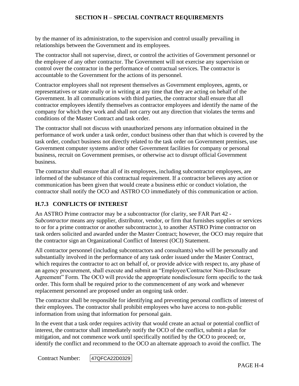by the manner of its administration, to the supervision and control usually prevailing in relationships between the Government and its employees.

The contractor shall not supervise, direct, or control the activities of Government personnel or the employee of any other contractor. The Government will not exercise any supervision or control over the contractor in the performance of contractual services. The contractor is accountable to the Government for the actions of its personnel.

Contractor employees shall not represent themselves as Government employees, agents, or representatives or state orally or in writing at any time that they are acting on behalf of the Government. In all communications with third parties, the contractor shall ensure that all contractor employees identify themselves as contractor employees and identify the name of the company for which they work and shall not carry out any direction that violates the terms and conditions of the Master Contract and task order.

The contractor shall not discuss with unauthorized persons any information obtained in the performance of work under a task order, conduct business other than that which is covered by the task order, conduct business not directly related to the task order on Government premises, use Government computer systems and/or other Government facilities for company or personal business, recruit on Government premises, or otherwise act to disrupt official Government business.

The contractor shall ensure that all of its employees, including subcontractor employees, are informed of the substance of this contractual requirement. If a contractor believes any action or communication has been given that would create a business ethic or conduct violation, the contractor shall notify the OCO and ASTRO CO immediately of this communication or action.

# **H.7.3 CONFLICTS OF INTEREST**

An ASTRO Prime contractor may be a subcontractor (for clarity, see FAR Part 42 - *Subcontractor* means any supplier, distributor, vendor, or firm that furnishes supplies or services to or for a prime contractor or another subcontractor.), to another ASTRO Prime contractor on task orders solicited and awarded under the Master Contract; however, the OCO may require that the contractor sign an Organizational Conflict of Interest (OCI) Statement.

All contractor personnel (including subcontractors and consultants) who will be personally and substantially involved in the performance of any task order issued under the Master Contract, which requires the contractor to act on behalf of, or provide advice with respect to, any phase of an agency procurement, shall execute and submit an "Employee/Contractor Non-Disclosure Agreement" Form. The OCO will provide the appropriate nondisclosure form specific to the task order. This form shall be required prior to the commencement of any work and whenever replacement personnel are proposed under an ongoing task order.

The contractor shall be responsible for identifying and preventing personal conflicts of interest of their employees. The contractor shall prohibit employees who have access to non-public information from using that information for personal gain.

In the event that a task order requires activity that would create an actual or potential conflict of interest, the contractor shall immediately notify the OCO of the conflict, submit a plan for mitigation, and not commence work until specifically notified by the OCO to proceed; or, identify the conflict and recommend to the OCO an alternate approach to avoid the conflict. The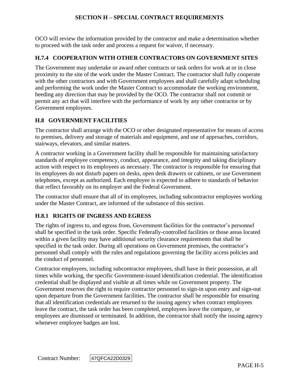OCO will review the information provided by the contractor and make a determination whether to proceed with the task order and process a request for waiver, if necessary.

### **H.7.4 COOPERATION WITH OTHER CONTRACTORS ON GOVERNMENT SITES**

The Government may undertake or award other contracts or task orders for work at or in close proximity to the site of the work under the Master Contract. The contractor shall fully cooperate with the other contractors and with Government employees and shall carefully adapt scheduling and performing the work under the Master Contract to accommodate the working environment, heeding any direction that may be provided by the OCO. The contractor shall not commit or permit any act that will interfere with the performance of work by any other contractor or by Government employees.

## **H.8 GOVERNMENT FACILITIES**

The contractor shall arrange with the OCO or other designated representative for means of access to premises, delivery and storage of materials and equipment, and use of approaches, corridors, stairways, elevators, and similar matters.

A contractor working in a Government facility shall be responsible for maintaining satisfactory standards of employee competency, conduct, appearance, and integrity and taking disciplinary action with respect to its employees as necessary. The contractor is responsible for ensuring that its employees do not disturb papers on desks, open desk drawers or cabinets, or use Government telephones, except as authorized. Each employee is expected to adhere to standards of behavior that reflect favorably on its employer and the Federal Government.

The contractor shall ensure that all of its employees, including subcontractor employees working under the Master Contract, are informed of the substance of this section.

## **H.8.1 RIGHTS OF INGRESS AND EGRESS**

The rights of ingress to, and egress from, Government facilities for the contractor's personnel shall be specified in the task order. Specific Federally-controlled facilities or those areas located within a given facility may have additional security clearance requirements that shall be specified in the task order. During all operations on Government premises, the contractor's personnel shall comply with the rules and regulations governing the facility access policies and the conduct of personnel.

Contractor employees, including subcontractor employees, shall have in their possession, at all times while working, the specific Government-issued identification credential. The identification credential shall be displayed and visible at all times while on Government property. The Government reserves the right to require contractor personnel to sign-in upon entry and sign-out upon departure from the Government facilities. The contractor shall be responsible for ensuring that all identification credentials are returned to the issuing agency when contract employees leave the contract, the task order has been completed, employees leave the company, or employees are dismissed or terminated. In addition, the contractor shall notify the issuing agency whenever employee badges are lost.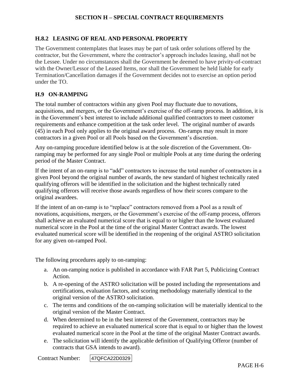### **H.8.2 LEASING OF REAL AND PERSONAL PROPERTY**

The Government contemplates that leases may be part of task order solutions offered by the contractor, but the Government, where the contractor's approach includes leasing, shall not be the Lessee. Under no circumstances shall the Government be deemed to have privity-of-contract with the Owner/Lessor of the Leased Items, nor shall the Government be held liable for early Termination/Cancellation damages if the Government decides not to exercise an option period under the TO.

#### **H.9 ON-RAMPING**

The total number of contractors within any given Pool may fluctuate due to novations, acquisitions, and mergers, or the Government's exercise of the off-ramp process. In addition, it is in the Government's best interest to include additional qualified contractors to meet customer requirements and enhance competition at the task order level. The original number of awards (45) in each Pool only applies to the original award process. On-ramps may result in more contractors in a given Pool or all Pools based on the Government's discretion.

Any on-ramping procedure identified below is at the sole discretion of the Government. Onramping may be performed for any single Pool or multiple Pools at any time during the ordering period of the Master Contract.

If the intent of an on-ramp is to "add" contractors to increase the total number of contractors in a given Pool beyond the original number of awards, the new standard of highest technically rated qualifying offerors will be identified in the solicitation and the highest technically rated qualifying offerors will receive those awards regardless of how their scores compare to the original awardees.

If the intent of an on-ramp is to "replace" contractors removed from a Pool as a result of novations, acquisitions, mergers, or the Government's exercise of the off-ramp process, offerors shall achieve an evaluated numerical score that is equal to or higher than the lowest evaluated numerical score in the Pool at the time of the original Master Contract awards. The lowest evaluated numerical score will be identified in the reopening of the original ASTRO solicitation for any given on-ramped Pool.

The following procedures apply to on-ramping:

- a. An on-ramping notice is published in accordance with FAR Part 5, Publicizing Contract Action.
- b. A re-opening of the ASTRO solicitation will be posted including the representations and certifications, evaluation factors, and scoring methodology materially identical to the original version of the ASTRO solicitation.
- c. The terms and conditions of the on-ramping solicitation will be materially identical to the original version of the Master Contract.
- d. When determined to be in the best interest of the Government, contractors may be required to achieve an evaluated numerical score that is equal to or higher than the lowest evaluated numerical score in the Pool at the time of the original Master Contract awards.
- e. The solicitation will identify the applicable definition of Qualifying Offeror (number of contracts that GSA intends to award).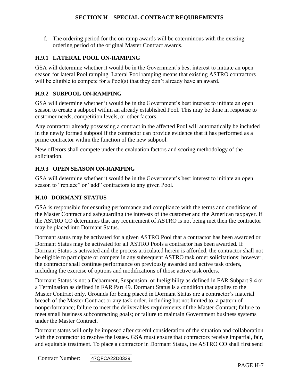f. The ordering period for the on-ramp awards will be coterminous with the existing ordering period of the original Master Contract awards.

### **H.9.1 LATERAL POOL ON-RAMPING**

GSA will determine whether it would be in the Government's best interest to initiate an open season for lateral Pool ramping. Lateral Pool ramping means that existing ASTRO contractors will be eligible to compete for a Pool(s) that they don't already have an award.

## **H.9.2 SUBPOOL ON-RAMPING**

GSA will determine whether it would be in the Government's best interest to initiate an open season to create a subpool within an already established Pool. This may be done in response to customer needs, competition levels, or other factors.

Any contractor already possessing a contract in the affected Pool will automatically be included in the newly formed subpool if the contractor can provide evidence that it has performed as a prime contractor within the function of the new subpool.

New offerors shall compete under the evaluation factors and scoring methodology of the solicitation.

## **H.9.3 OPEN SEASON ON-RAMPING**

GSA will determine whether it would be in the Government's best interest to initiate an open season to "replace" or "add" contractors to any given Pool.

## **H.10 DORMANT STATUS**

GSA is responsible for ensuring performance and compliance with the terms and conditions of the Master Contract and safeguarding the interests of the customer and the American taxpayer. If the ASTRO CO determines that any requirement of ASTRO is not being met then the contractor may be placed into Dormant Status.

Dormant status may be activated for a given ASTRO Pool that a contractor has been awarded or Dormant Status may be activated for all ASTRO Pools a contractor has been awarded. If Dormant Status is activated and the process articulated herein is afforded, the contractor shall not be eligible to participate or compete in any subsequent ASTRO task order solicitations; however, the contractor shall continue performance on previously awarded and active task orders, including the exercise of options and modifications of those active task orders.

Dormant Status is not a Debarment, Suspension, or Ineligibility as defined in FAR Subpart 9.4 or a Termination as defined in FAR Part 49. Dormant Status is a condition that applies to the Master Contract only. Grounds for being placed in Dormant Status are a contractor's material breach of the Master Contract or any task order, including but not limited to, a pattern of nonperformance; failure to meet the deliverables requirements of the Master Contract; failure to meet small business subcontracting goals; or failure to maintain Government business systems under the Master Contract.

Dormant status will only be imposed after careful consideration of the situation and collaboration with the contractor to resolve the issues. GSA must ensure that contractors receive impartial, fair, and equitable treatment. To place a contractor in Dormant Status, the ASTRO CO shall first send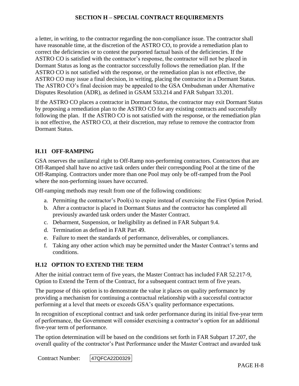a letter, in writing, to the contractor regarding the non-compliance issue. The contractor shall have reasonable time, at the discretion of the ASTRO CO, to provide a remediation plan to correct the deficiencies or to contest the purported factual basis of the deficiencies. If the ASTRO CO is satisfied with the contractor's response, the contractor will not be placed in Dormant Status as long as the contractor successfully follows the remediation plan. If the ASTRO CO is not satisfied with the response, or the remediation plan is not effective, the ASTRO CO may issue a final decision, in writing, placing the contractor in a Dormant Status. The ASTRO CO's final decision may be appealed to the GSA Ombudsman under Alternative Disputes Resolution (ADR), as defined in GSAM 533.214 and FAR Subpart 33.201.

If the ASTRO CO places a contractor in Dormant Status, the contractor may exit Dormant Status by proposing a remediation plan to the ASTRO CO for any existing contracts and successfully following the plan. If the ASTRO CO is not satisfied with the response, or the remediation plan is not effective, the ASTRO CO, at their discretion, may refuse to remove the contractor from Dormant Status.

### **H.11 OFF-RAMPING**

GSA reserves the unilateral right to Off-Ramp non-performing contractors. Contractors that are Off-Ramped shall have no active task orders under their corresponding Pool at the time of the Off-Ramping. Contractors under more than one Pool may only be off-ramped from the Pool where the non-performing issues have occurred.

Off-ramping methods may result from one of the following conditions:

- a. Permitting the contractor's Pool(s) to expire instead of exercising the First Option Period.
- b. After a contractor is placed in Dormant Status and the contractor has completed all previously awarded task orders under the Master Contract.
- c. Debarment, Suspension, or Ineligibility as defined in FAR Subpart 9.4.
- d. Termination as defined in FAR Part 49.
- e. Failure to meet the standards of performance, deliverables, or compliances.
- f. Taking any other action which may be permitted under the Master Contract's terms and conditions.

#### **H.12 OPTION TO EXTEND THE TERM**

After the initial contract term of five years, the Master Contract has included FAR 52.217-9, Option to Extend the Term of the Contract, for a subsequent contract term of five years.

The purpose of this option is to demonstrate the value it places on quality performance by providing a mechanism for continuing a contractual relationship with a successful contractor performing at a level that meets or exceeds GSA's quality performance expectations.

In recognition of exceptional contract and task order performance during its initial five-year term of performance, the Government will consider exercising a contractor's option for an additional five-year term of performance.

The option determination will be based on the conditions set forth in FAR Subpart 17.207, the overall quality of the contractor's Past Performance under the Master Contract and awarded task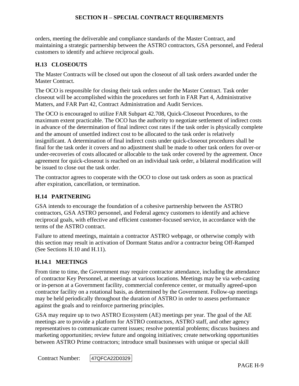orders, meeting the deliverable and compliance standards of the Master Contract, and maintaining a strategic partnership between the ASTRO contractors, GSA personnel, and Federal customers to identify and achieve reciprocal goals.

### **H.13 CLOSEOUTS**

The Master Contracts will be closed out upon the closeout of all task orders awarded under the Master Contract.

The OCO is responsible for closing their task orders under the Master Contract. Task order closeout will be accomplished within the procedures set forth in FAR Part 4, Administrative Matters, and FAR Part 42, Contract Administration and Audit Services.

The OCO is encouraged to utilize FAR Subpart 42.708, Quick-Closeout Procedures, to the maximum extent practicable. The OCO has the authority to negotiate settlement of indirect costs in advance of the determination of final indirect cost rates if the task order is physically complete and the amount of unsettled indirect cost to be allocated to the task order is relatively insignificant. A determination of final indirect costs under quick-closeout procedures shall be final for the task order it covers and no adjustment shall be made to other task orders for over-or under-recoveries of costs allocated or allocable to the task order covered by the agreement. Once agreement for quick-closeout is reached on an individual task order, a bilateral modification will be issued to close out the task order.

The contractor agrees to cooperate with the OCO to close out task orders as soon as practical after expiration, cancellation, or termination.

#### **H.14 PARTNERING**

GSA intends to encourage the foundation of a cohesive partnership between the ASTRO contractors, GSA ASTRO personnel, and Federal agency customers to identify and achieve reciprocal goals, with effective and efficient customer-focused service, in accordance with the terms of the ASTRO contract.

Failure to attend meetings, maintain a contractor ASTRO webpage, or otherwise comply with this section may result in activation of Dormant Status and/or a contractor being Off-Ramped (See Sections H.10 and H.11).

#### **H.14.1 MEETINGS**

From time to time, the Government may require contractor attendance, including the attendance of contractor Key Personnel, at meetings at various locations. Meetings may be via web-casting or in-person at a Government facility, commercial conference center, or mutually agreed-upon contractor facility on a rotational basis, as determined by the Government. Follow-up meetings may be held periodically throughout the duration of ASTRO in order to assess performance against the goals and to reinforce partnering principles.

GSA may require up to two ASTRO Ecosystem (AE) meetings per year. The goal of the AE meetings are to provide a platform for ASTRO contractors, ASTRO staff, and other agency representatives to communicate current issues; resolve potential problems; discuss business and marketing opportunities; review future and ongoing initiatives; create networking opportunities between ASTRO Prime contractors; introduce small businesses with unique or special skill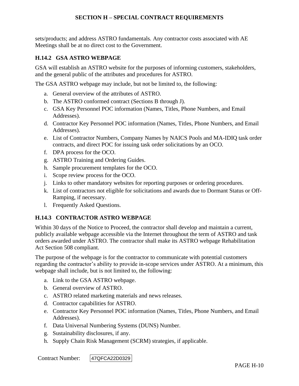sets/products; and address ASTRO fundamentals. Any contractor costs associated with AE Meetings shall be at no direct cost to the Government.

## **H.14.2 GSA ASTRO WEBPAGE**

GSA will establish an ASTRO website for the purposes of informing customers, stakeholders, and the general public of the attributes and procedures for ASTRO.

The GSA ASTRO webpage may include, but not be limited to, the following:

- a. General overview of the attributes of ASTRO.
- b. The ASTRO conformed contract (Sections B through J).
- c. GSA Key Personnel POC information (Names, Titles, Phone Numbers, and Email Addresses).
- d. Contractor Key Personnel POC information (Names, Titles, Phone Numbers, and Email Addresses).
- e. List of Contractor Numbers, Company Names by NAICS Pools and MA-IDIQ task order contracts, and direct POC for issuing task order solicitations by an OCO.
- f. DPA process for the OCO.
- g. ASTRO Training and Ordering Guides.
- h. Sample procurement templates for the OCO.
- i. Scope review process for the OCO.
- j. Links to other mandatory websites for reporting purposes or ordering procedures.
- k. List of contractors not eligible for solicitations and awards due to Dormant Status or Off-Ramping, if necessary.
- l. Frequently Asked Questions.

## **H.14.3 CONTRACTOR ASTRO WEBPAGE**

Within 30 days of the Notice to Proceed, the contractor shall develop and maintain a current, publicly available webpage accessible via the Internet throughout the term of ASTRO and task orders awarded under ASTRO. The contractor shall make its ASTRO webpage Rehabilitation Act Section 508 compliant.

The purpose of the webpage is for the contractor to communicate with potential customers regarding the contractor's ability to provide in-scope services under ASTRO. At a minimum, this webpage shall include, but is not limited to, the following:

- a. Link to the GSA ASTRO webpage.
- b. General overview of ASTRO.
- c. ASTRO related marketing materials and news releases.
- d. Contractor capabilities for ASTRO.
- e. Contractor Key Personnel POC information (Names, Titles, Phone Numbers, and Email Addresses).
- f. Data Universal Numbering Systems (DUNS) Number.
- g. Sustainability disclosures, if any.
- h. Supply Chain Risk Management (SCRM) strategies, if applicable.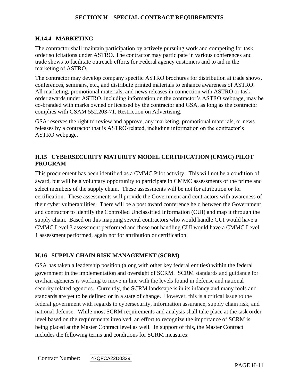## **H.14.4 MARKETING**

The contractor shall maintain participation by actively pursuing work and competing for task order solicitations under ASTRO. The contractor may participate in various conferences and trade shows to facilitate outreach efforts for Federal agency customers and to aid in the marketing of ASTRO.

The contractor may develop company specific ASTRO brochures for distribution at trade shows, conferences, seminars, etc., and distribute printed materials to enhance awareness of ASTRO. All marketing, promotional materials, and news releases in connection with ASTRO or task order awards under ASTRO, including information on the contractor's ASTRO webpage, may be co-branded with marks owned or licensed by the contractor and GSA, as long as the contractor complies with GSAM 552.203-71, Restriction on Advertising.

GSA reserves the right to review and approve, any marketing, promotional materials, or news releases by a contractor that is ASTRO-related, including information on the contractor's ASTRO webpage.

## **H.15 CYBERSECURITY MATURITY MODEL CERTIFICATION (CMMC) PILOT PROGRAM**

This procurement has been identified as a CMMC Pilot activity. This will not be a condition of award, but will be a voluntary opportunity to participate in CMMC assessments of the prime and select members of the supply chain. These assessments will be not for attribution or for certification. These assessments will provide the Government and contractors with awareness of their cyber vulnerabilities. There will be a post award conference held between the Government and contractor to identify the Controlled Unclassified Information (CUI) and map it through the supply chain. Based on this mapping several contractors who would handle CUI would have a CMMC Level 3 assessment performed and those not handling CUI would have a CMMC Level 1 assessment performed, again not for attribution or certification.

# **H.16 SUPPLY CHAIN RISK MANAGEMENT (SCRM)**

GSA has taken a leadership position (along with other key federal entities) within the federal government in the implementation and oversight of SCRM. SCRM standards and guidance for civilian agencies is working to move in line with the levels found in defense and national security related agencies. Currently, the SCRM landscape is in its infancy and many tools and standards are yet to be defined or in a state of change. However, this is a critical issue to the federal government with regards to cybersecurity, information assurance, supply chain risk, and national defense. While most SCRM requirements and analysis shall take place at the task order level based on the requirements involved, an effort to recognize the importance of SCRM is being placed at the Master Contract level as well. In support of this, the Master Contract includes the following terms and conditions for SCRM measures: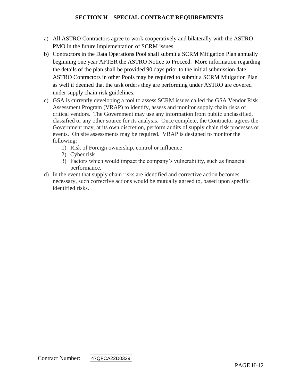- a) All ASTRO Contractors agree to work cooperatively and bilaterally with the ASTRO PMO in the future implementation of SCRM issues.
- b) Contractors in the Data Operations Pool shall submit a SCRM Mitigation Plan annually beginning one year AFTER the ASTRO Notice to Proceed. More information regarding the details of the plan shall be provided 90 days prior to the initial submission date. ASTRO Contractors in other Pools may be required to submit a SCRM Mitigation Plan as well if deemed that the task orders they are performing under ASTRO are covered under supply chain risk guidelines.
- c) GSA is currently developing a tool to assess SCRM issues called the GSA Vendor Risk Assessment Program (VRAP) to identify, assess and monitor supply chain risks of critical vendors. The Government may use any information from public unclassified, classified or any other source for its analysis. Once complete, the Contractor agrees the Government may, at its own discretion, perform audits of supply chain risk processes or events. On site assessments may be required. VRAP is designed to monitor the following:
	- 1) Risk of Foreign ownership, control or influence
	- 2) Cyber risk
	- 3) Factors which would impact the company's vulnerability, such as financial performance.
- d) In the event that supply chain risks are identified and corrective action becomes necessary, such corrective actions would be mutually agreed to, based upon specific identified risks.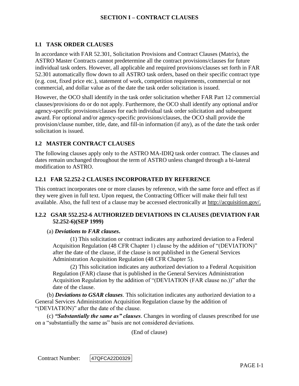## **I.1 TASK ORDER CLAUSES**

In accordance with FAR 52.301, Solicitation Provisions and Contract Clauses (Matrix), the ASTRO Master Contracts cannot predetermine all the contract provisions/clauses for future individual task orders. However, all applicable and required provisions/clauses set forth in FAR 52.301 automatically flow down to all ASTRO task orders, based on their specific contract type (e.g. cost, fixed price etc.), statement of work, competition requirements, commercial or not commercial, and dollar value as of the date the task order solicitation is issued.

However, the OCO shall identify in the task order solicitation whether FAR Part 12 commercial clauses/provisions do or do not apply. Furthermore, the OCO shall identify any optional and/or agency-specific provisions/clauses for each individual task order solicitation and subsequent award. For optional and/or agency-specific provisions/clauses, the OCO shall provide the provision/clause number, title, date, and fill-in information (if any), as of the date the task order solicitation is issued.

## **I.2 MASTER CONTRACT CLAUSES**

The following clauses apply only to the ASTRO MA-IDIQ task order contract. The clauses and dates remain unchanged throughout the term of ASTRO unless changed through a bi-lateral modification to ASTRO.

## **I.2.1 FAR 52.252-2 CLAUSES INCORPORATED BY REFERENCE**

This contract incorporates one or more clauses by reference, with the same force and effect as if they were given in full text. Upon request, the Contracting Officer will make their full text available. Also, the full text of a clause may be accessed electronically at [http://acquisition.gov/.](http://acquisition.gov/)

## **I.2.2 GSAR 552.252-6 AUTHORIZED DEVIATIONS IN CLAUSES (DEVIATION FAR 52.252-6)(SEP 1999)**

#### (a) *Deviations to FAR clauses***.**

(1) This solicitation or contract indicates any authorized deviation to a Federal Acquisition Regulation (48 CFR Chapter 1) clause by the addition of "(DEVIATION)" after the date of the clause, if the clause is not published in the General Services Administration Acquisition Regulation (48 CFR Chapter 5).

(2) This solicitation indicates any authorized deviation to a Federal Acquisition Regulation (FAR) clause that is published in the General Services Administration Acquisition Regulation by the addition of "(DEVIATION (FAR clause no.))" after the date of the clause.

(b) *Deviations to GSAR clauses*. This solicitation indicates any authorized deviation to a General Services Administration Acquisition Regulation clause by the addition of "(DEVIATION)" after the date of the clause.

(c) *"Substantially the same as" clauses*. Changes in wording of clauses prescribed for use on a "substantially the same as" basis are not considered deviations.

(End of clause)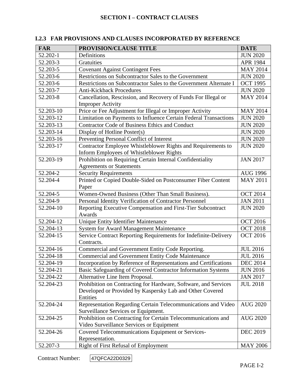| <b>FAR</b> | PROVISION/CLAUSE TITLE                                                                                    | <b>DATE</b>     |
|------------|-----------------------------------------------------------------------------------------------------------|-----------------|
| 52.202-1   | Definitions                                                                                               | <b>JUN 2020</b> |
| 52.203-3   | Gratuities                                                                                                | APR 1984        |
| 52.203-5   | <b>Covenant Against Contingent Fees</b>                                                                   | <b>MAY 2014</b> |
| 52.203-6   | Restrictions on Subcontractor Sales to the Government                                                     | <b>JUN 2020</b> |
| 52.203-6   | Restrictions on Subcontractor Sales to the Government Alternate I                                         | <b>OCT 1995</b> |
| 52.203-7   | <b>Anti-Kickback Procedures</b>                                                                           | <b>JUN 2020</b> |
| 52.203-8   | Cancellation, Rescission, and Recovery of Funds For Illegal or<br><b>Improper Activity</b>                | <b>MAY 2014</b> |
| 52.203-10  | Price or Fee Adjustment for Illegal or Improper Activity                                                  | <b>MAY 2014</b> |
| 52.203-12  | Limitation on Payments to Influence Certain Federal Transactions                                          | <b>JUN 2020</b> |
| 52.203-13  | Contractor Code of Business Ethics and Conduct                                                            | <b>JUN 2020</b> |
| 52.203-14  | Display of Hotline Poster(s)                                                                              | <b>JUN 2020</b> |
| 52.203-16  | Preventing Personal Conflict of Interest                                                                  | <b>JUN 2020</b> |
| 52.203-17  | Contractor Employee Whistleblower Rights and Requirements to<br>Inform Employees of Whistleblower Rights  | <b>JUN 2020</b> |
| 52.203-19  | Prohibition on Requiring Certain Internal Confidentiality<br><b>Agreements or Statements</b>              | <b>JAN 2017</b> |
| 52.204-2   | <b>Security Requirements</b>                                                                              | <b>AUG 1996</b> |
| 52.204-4   | Printed or Copied Double-Sided on Postconsumer Fiber Content<br>Paper                                     | <b>MAY 2011</b> |
| 52.204-5   | Women-Owned Business (Other Than Small Business).                                                         | <b>OCT 2014</b> |
| 52.204-9   | Personal Identity Verification of Contractor Personnel                                                    | <b>JAN 2011</b> |
| 52.204-10  | Reporting Executive Compensation and First-Tier Subcontract<br>Awards                                     | <b>JUN 2020</b> |
| 52.204-12  | Unique Entity Identifier Maintenance<br><b>OCT 2016</b>                                                   |                 |
| 52.204-13  | System for Award Management Maintenance                                                                   | <b>OCT 2018</b> |
| 52.204-15  | Service Contract Reporting Requirements for Indefinite-Delivery<br>Contracts.                             | <b>OCT 2016</b> |
| 52.204-16  | Commercial and Government Entity Code Reporting.                                                          | <b>JUL 2016</b> |
| 52.204-18  | <b>Commercial and Government Entity Code Maintenance</b>                                                  | <b>JUL 2016</b> |
| 52.204-19  | Incorporation by Reference of Representations and Certifications                                          | <b>DEC 2014</b> |
| 52.204-21  | Basic Safeguarding of Covered Contractor Information Systems                                              | <b>JUN 2016</b> |
| 52.204-22  | Alternative Line Item Proposal.                                                                           | <b>JAN 2017</b> |
| 52.204-23  | Prohibition on Contracting for Hardware, Software, and Services                                           | <b>JUL 2018</b> |
|            | Developed or Provided by Kaspersky Lab and Other Covered<br>Entities                                      |                 |
| 52.204-24  | Representation Regarding Certain Telecommunications and Video<br>Surveillance Services or Equipment.      | <b>AUG 2020</b> |
| 52.204-25  | Prohibition on Contracting for Certain Telecommunications and<br>Video Surveillance Services or Equipment | <b>AUG 2020</b> |
| 52.204-26  | Covered Telecommunications Equipment or Services-<br>Representation.                                      | <b>DEC 2019</b> |
| 52.207-3   | Right of First Refusal of Employment                                                                      | <b>MAY 2006</b> |

# **I.2.3 FAR PROVISIONS AND CLAUSES INCORPORATED BY REFERENCE**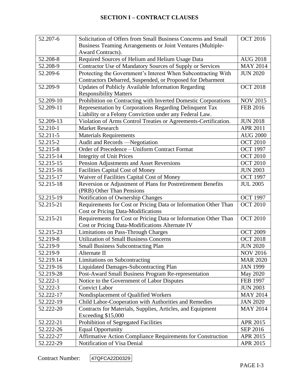| 52.207-6  | <b>OCT 2016</b><br>Solicitation of Offers from Small Business Concerns and Small   |                 |
|-----------|------------------------------------------------------------------------------------|-----------------|
|           | Business Teaming Arrangements or Joint Ventures (Multiple-                         |                 |
|           | Award Contracts).                                                                  |                 |
| 52.208-8  | Required Sources of Helium and Helium Usage Data                                   | <b>AUG 2018</b> |
| 52.208-9  | Contractor Use of Mandatory Sources of Supply or Services                          | <b>MAY 2014</b> |
| 52.209-6  | Protecting the Government's Interest When Subcontracting With<br><b>JUN 2020</b>   |                 |
|           | Contractors Debarred, Suspended, or Proposed for Debarment                         |                 |
| 52.209-9  | Updates of Publicly Available Information Regarding                                | <b>OCT 2018</b> |
|           | <b>Responsibility Matters</b>                                                      |                 |
| 52.209-10 | Prohibition on Contracting with Inverted Domestic Corporations                     | <b>NOV 2015</b> |
| 52.209-11 | Representation by Corporations Regarding Delinquent Tax                            | <b>FEB 2016</b> |
|           | Liability or a Felony Conviction under any Federal Law.                            |                 |
| 52.209-13 | Violation of Arms Control Treaties or Agreements-Certification.                    | <b>JUN 2018</b> |
| 52.210-1  | <b>Market Research</b>                                                             | <b>APR 2011</b> |
| 52.211-5  | <b>Materials Requirements</b>                                                      | <b>AUG 2000</b> |
| 52.215-2  | Audit and Records -Negotiation                                                     | <b>OCT 2010</b> |
| 52.215-8  | Order of Precedence - Uniform Contract Format                                      | <b>OCT 1997</b> |
| 52.215-14 | <b>Integrity of Unit Prices</b>                                                    | <b>OCT 2010</b> |
| 52.215-15 | Pension Adjustments and Asset Reversions                                           | <b>OCT 2010</b> |
| 52.215-16 | <b>Facilities Capital Cost of Money</b>                                            | <b>JUN 2003</b> |
| 52.215-17 | Waiver of Facilities Capital Cost of Money<br><b>OCT 1997</b>                      |                 |
| 52.215-18 | Reversion or Adjustment of Plans for Postretirement Benefits                       | <b>JUL 2005</b> |
|           | (PRB) Other Than Pensions                                                          |                 |
| 52.215-19 | Notification of Ownership Changes                                                  | <b>OCT 1997</b> |
| 52.215-21 | Requirements for Cost or Pricing Data or Information Other Than                    | <b>OCT 2010</b> |
|           | <b>Cost or Pricing Data-Modifications</b>                                          |                 |
| 52.215-21 | Requirements for Cost or Pricing Data or Information Other Than<br><b>OCT 2010</b> |                 |
|           | Cost or Pricing Data-Modifications Alternate IV                                    |                 |
| 52.215-23 | <b>Limitations on Pass-Through Charges</b>                                         | <b>OCT 2009</b> |
| 52.219-8  | <b>Utilization of Small Business Concerns</b>                                      | <b>OCT 2018</b> |
| 52.219-9  | <b>Small Business Subcontracting Plan</b>                                          | <b>JUN 2020</b> |
| 52.219-9  | Alternate II                                                                       | NOV 2016        |
| 52.219.14 | Limitations on Subcontracting                                                      | <b>MAR 2020</b> |
| 52.219-16 | <b>Liquidated Damages-Subcontracting Plan</b>                                      | <b>JAN 1999</b> |
| 52.219-28 | Post-Award Small Business Program Re-representation                                | May 2020        |
| 52.222-1  | Notice to the Government of Labor Disputes                                         | <b>FEB 1997</b> |
| 52.222-3  | <b>Convict Labor</b>                                                               | <b>JUN 2003</b> |
| 52.222-17 | Nondisplacement of Qualified Workers                                               | <b>MAY 2014</b> |
| 52.222-19 | Child Labor-Cooperation with Authorities and Remedies                              | <b>JAN 2020</b> |
| 52.222-20 | Contracts for Materials, Supplies, Articles, and Equipment                         | <b>MAY 2014</b> |
|           | Exceeding \$15,000                                                                 |                 |
| 52.222-21 | Prohibition of Segregated Facilities                                               | APR 2015        |
| 52.222-26 | <b>Equal Opportunity</b>                                                           | SEP 2016        |
| 52.222-27 | Affirmative Action Compliance Requirements for Construction                        | APR 2015        |
| 52.222-29 | Notification of Visa Denial                                                        | APR 2015        |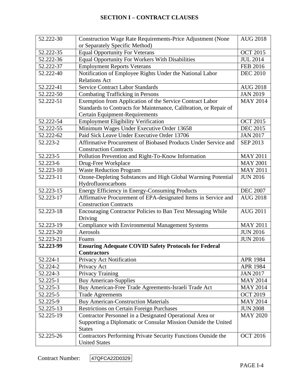| 52.222-30 | Construction Wage Rate Requirements-Price Adjustment (None<br><b>AUG 2018</b>                   |                 |
|-----------|-------------------------------------------------------------------------------------------------|-----------------|
|           | or Separately Specific Method)                                                                  |                 |
| 52.222-35 | <b>Equal Opportunity For Veterans</b>                                                           | <b>OCT 2015</b> |
| 52.222-36 | <b>Equal Opportunity For Workers With Disabilities</b>                                          | <b>JUL 2014</b> |
| 52.222-37 | <b>Employment Reports Veterans</b>                                                              | <b>FEB 2016</b> |
| 52.222-40 | Notification of Employee Rights Under the National Labor<br><b>DEC 2010</b>                     |                 |
|           | <b>Relations Act</b>                                                                            |                 |
| 52.222-41 | <b>Service Contract Labor Standards</b>                                                         | <b>AUG 2018</b> |
| 52.222-50 | <b>Combating Trafficking in Persons</b>                                                         | <b>JAN 2019</b> |
| 52.222-51 | Exemption from Application of the Service Contract Labor                                        | <b>MAY 2014</b> |
|           | Standards to Contracts for Maintenance, Calibration, or Repair of                               |                 |
|           | Certain Equipment-Requirements                                                                  |                 |
| 52.222-54 | <b>Employment Eligibility Verification</b>                                                      | <b>OCT 2015</b> |
| 52.222-55 | Minimum Wages Under Executive Order 13658                                                       | <b>DEC 2015</b> |
| 52.222-62 | Paid Sick Leave Under Executive Order 13706                                                     | <b>JAN 2017</b> |
| 52.223-2  | Affirmative Procurement of Biobased Products Under Service and<br><b>Construction Contracts</b> | SEP 2013        |
| 52.223-5  | Pollution Prevention and Right-To-Know Information                                              | <b>MAY 2011</b> |
| 52.223-6  | Drug-Free Workplace                                                                             | <b>MAY 2001</b> |
| 52.223-10 | <b>Waste Reduction Program</b>                                                                  | <b>MAY 2011</b> |
| 52.223-11 | Ozone-Depleting Substances and High Global Warming Potential                                    | <b>JUN 2016</b> |
|           | Hydrofluorocarbons                                                                              |                 |
| 52.223-15 | Energy Efficiency in Energy-Consuming Products                                                  | <b>DEC 2007</b> |
| 52.223-17 | Affirmative Procurement of EPA-designated Items in Service and                                  | <b>AUG 2018</b> |
|           | <b>Construction Contracts</b>                                                                   |                 |
| 52.223-18 | Encouraging Contractor Policies to Ban Text Messaging While                                     | <b>AUG 2011</b> |
|           | Driving                                                                                         |                 |
| 52.223-19 | Compliance with Environmental Management Systems                                                | <b>MAY 2011</b> |
| 52.223-20 | Aerosols                                                                                        | <b>JUN 2016</b> |
| 52.223-21 | Foams                                                                                           | <b>JUN 2016</b> |
| 52.223-99 | <b>Ensuring Adequate COVID Safety Protocols for Federal</b>                                     |                 |
|           | <b>Contractors</b>                                                                              |                 |
| 52.224-1  | Privacy Act Notification                                                                        | <b>APR 1984</b> |
| 52.224-2  | Privacy Act                                                                                     | APR 1984        |
| 52.224-3  | Privacy Training                                                                                | <b>JAN 2017</b> |
| 52.225-1  | <b>Buy American-Supplies</b>                                                                    | <b>MAY 2014</b> |
| 52.225-3  | Buy American-Free Trade Agreements-Israeli Trade Act                                            | <b>MAY 2014</b> |
| 52.225-5  | <b>Trade Agreements</b>                                                                         | <b>OCT 2019</b> |
| 52.225-9  | <b>Buy American-Construction Materials</b>                                                      | <b>MAY 2014</b> |
| 52.225-13 | <b>Restrictions on Certain Foreign Purchases</b>                                                | <b>JUN 2008</b> |
| 52.225-19 | Contractor Personnel in a Designated Operational Area or                                        | <b>MAY 2020</b> |
|           | Supporting a Diplomatic or Consular Mission Outside the United                                  |                 |
|           | <b>States</b>                                                                                   |                 |
| 52.225-26 | Contractors Performing Private Security Functions Outside the<br><b>United States</b>           | <b>OCT 2016</b> |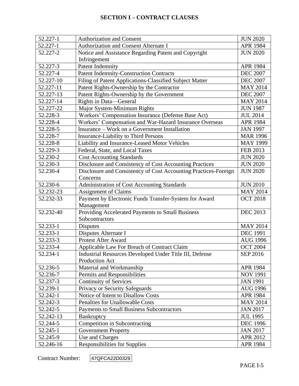| 52.227-1                                                      | <b>Authorization and Consent</b>                                | <b>JUN 2020</b> |
|---------------------------------------------------------------|-----------------------------------------------------------------|-----------------|
| 52.227-1                                                      | Authorization and Consent Alternate I                           | APR 1984        |
| 52.227-2                                                      | Notice and Assistance Regarding Patent and Copyright            | <b>JUN 2020</b> |
|                                                               | Infringement                                                    |                 |
| 52.227-3                                                      | <b>Patent Indemnity</b>                                         | <b>APR 1984</b> |
| 52.227-4                                                      | <b>Patent Indemnity-Construction Contracts</b>                  | <b>DEC 2007</b> |
| 52.227-10                                                     | Filing of Patent Applications-Classified Subject Matter         | <b>DEC 2007</b> |
| 52.227-11                                                     | Patent Rights-Ownership by the Contractor                       | <b>MAY 2014</b> |
| 52.227-13                                                     | Patent Rights-Ownership by the Government                       | <b>DEC 2007</b> |
| 52.227-14                                                     | Rights in Data—General                                          | <b>MAY 2014</b> |
| 52.227-22                                                     | Major System-Minimum Rights                                     | <b>JUN 1987</b> |
| 52.228-3                                                      | Workers' Compensation Insurance (Defense Base Act)              | <b>JUL 2014</b> |
| 52.228-4                                                      | Workers' Compensation and War-Hazard Insurance Overseas         | <b>APR 1984</b> |
| 52.228-5                                                      | Insurance - Work on a Government Installation                   | <b>JAN 1997</b> |
| 52.228-7                                                      | <b>Insurance-Liability to Third Persons</b>                     | <b>MAR 1996</b> |
| 52.228-8                                                      | Liability and Insurance-Leased Motor Vehicles                   | <b>MAY 1999</b> |
| 52.229-3                                                      | Federal, State, and Local Taxes                                 | FEB 2013        |
| 52.230-2                                                      | <b>Cost Accounting Standards</b>                                | <b>JUN 2020</b> |
| 52.230-3                                                      | Disclosure and Consistency of Cost Accounting Practices         | <b>JUN 2020</b> |
| 52.230-4                                                      | Disclosure and Consistency of Cost Accounting Practices-Foreign | <b>JUN 2020</b> |
|                                                               | Concerns                                                        |                 |
| 52.230-6                                                      | Administration of Cost Accounting Standards                     | <b>JUN 2010</b> |
| 52.232-23                                                     | <b>Assignment of Claims</b><br><b>MAY 2014</b>                  |                 |
| 52.232-33                                                     | Payment by Electronic Funds Transfer-System for Award           | <b>OCT 2018</b> |
|                                                               | Management                                                      |                 |
| Providing Accelerated Payments to Small Business<br>52.232-40 |                                                                 | <b>DEC 2013</b> |
|                                                               | Subcontractors                                                  |                 |
| 52.233-1                                                      | <b>Disputes</b>                                                 | <b>MAY 2014</b> |
| 52.233-1                                                      | Disputes Alternate I                                            | <b>DEC 1991</b> |
| 52.233-3                                                      | Protest After Award                                             | <b>AUG 1996</b> |
| 52.233-4                                                      | Applicable Law For Breach of Contract Claim                     | <b>OCT 2004</b> |
| 52.234-1                                                      | Industrial Resources Developed Under Title III, Defense         | SEP 2016        |
|                                                               | Production Act                                                  |                 |
| 52.236-5                                                      | Material and Workmanship                                        | APR 1984        |
| 52.236-7                                                      | Permits and Responsibilities                                    | <b>NOV 1991</b> |
| 52.237-3                                                      | <b>Continuity of Services</b>                                   | <b>JAN 1991</b> |
| 52.239-1                                                      | Privacy or Security Safeguards                                  | <b>AUG 1996</b> |
| 52.242-1                                                      | Notice of Intent to Disallow Costs                              | APR 1984        |
| 52.242-3                                                      | Penalties for Unallowable Costs                                 | <b>MAY 2014</b> |
| 52.242-5                                                      | <b>Payments to Small Business Subcontractors</b>                | <b>JAN 2017</b> |
| 52.242-13                                                     | Bankruptcy                                                      | <b>JUL 1995</b> |
| 52.244-5                                                      | Competition in Subcontracting                                   | <b>DEC 1996</b> |
| 52.245-1                                                      | <b>Government Property</b>                                      | <b>JAN 2017</b> |
| 52.245-9                                                      | Use and Charges                                                 | APR 2012        |
| 52.246-16                                                     | <b>Responsibilities for Supplies</b>                            | APR 1984        |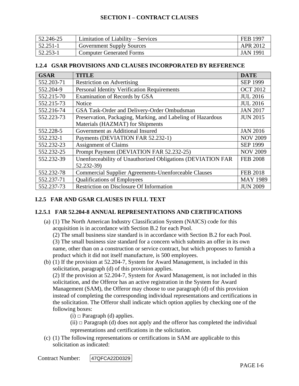| 52.246-25 | Limitation of Liability – Services | FEB 1997 |
|-----------|------------------------------------|----------|
| 52.251-1  | <b>Government Supply Sources</b>   | APR 2012 |
| 52.253-1  | <b>Computer Generated Forms</b>    | JAN 1991 |

### **1.2.4 GSAR PROVISIONS AND CLAUSES INCORPORATED BY REFERENCE**

| <b>GSAR</b> | <b>TITLE</b>                                                                   | <b>DATE</b>     |
|-------------|--------------------------------------------------------------------------------|-----------------|
| 552.203-71  | <b>Restriction on Advertising</b>                                              | <b>SEP 1999</b> |
| 552.204-9   | <b>Personal Identity Verification Requirements</b>                             | <b>OCT 2012</b> |
| 552.215-70  | Examination of Records by GSA                                                  | <b>JUL 2016</b> |
| 552.215-73  | <b>Notice</b>                                                                  | <b>JUL 2016</b> |
| 552.216-74  | GSA Task-Order and Delivery-Order Ombudsman                                    | <b>JAN 2017</b> |
| 552.223-73  | Preservation, Packaging, Marking, and Labeling of Hazardous                    | <b>JUN 2015</b> |
|             | Materials (HAZMAT) for Shipments                                               |                 |
| 552.228-5   | Government as Additional Insured<br><b>JAN 2016</b>                            |                 |
| 552.232-1   | Payments (DEVIATION FAR 52.232-1)<br><b>NOV 2009</b>                           |                 |
| 552.232-23  | <b>Assignment of Claims</b><br><b>SEP 1999</b>                                 |                 |
| 552.232-25  | Prompt Payment (DEVIATION FAR 52.232-25)<br><b>NOV 2009</b>                    |                 |
| 552.232-39  | Unenforceability of Unauthorized Obligations (DEVIATION FAR<br><b>FEB 2008</b> |                 |
|             | 52.232-39)                                                                     |                 |
| 552.232-78  | <b>Commercial Supplier Agreements-Unenforceable Clauses</b><br><b>FEB 2018</b> |                 |
| 552.237-71  | <b>Qualifications of Employees</b><br><b>MAY 1989</b>                          |                 |
| 552.237-73  | <b>Restriction on Disclosure Of Information</b><br><b>JUN 2009</b>             |                 |

# **I.2.5 FAR AND GSAR CLAUSES IN FULL TEXT**

## **I.2.5.1 FAR 52.204-8 ANNUAL REPRESENTATIONS AND CERTIFICATIONS**

(a) (1) The North American Industry Classification System (NAICS) code for this acquisition is in accordance with Section B.2 for each Pool.

(2) The small business size standard is in accordance with Section B.2 for each Pool.

(3) The small business size standard for a concern which submits an offer in its own name, other than on a construction or service contract, but which proposes to furnish a product which it did not itself manufacture, is 500 employees.

(b) (1) If the provision at [52.204-7,](https://acquisition.gov/far/52.204-7#FAR_52_204_7) System for Award Management, is included in this solicitation, paragraph (d) of this provision applies.

(2) If the provision at [52.204-7,](https://acquisition.gov/far/52.204-7#FAR_52_204_7) System for Award Management, is not included in this solicitation, and the Offeror has an active registration in the System for Award Management (SAM), the Offeror may choose to use paragraph (d) of this provision instead of completing the corresponding individual representations and certifications in the solicitation. The Offeror shall indicate which option applies by checking one of the following boxes:

(i) *□* Paragraph (d) applies.

(ii) *□* Paragraph (d) does not apply and the offeror has completed the individual representations and certifications in the solicitation.

(c) (1) The following representations or certifications in SAM are applicable to this solicitation as indicated: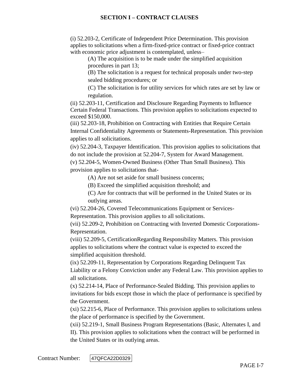(i) [52.203-2,](https://acquisition.gov/far/52.203-2#FAR_52_203_2) Certificate of Independent Price Determination. This provision applies to solicitations when a firm-fixed-price contract or fixed-price contract with economic price adjustment is contemplated, unless–

(A) The acquisition is to be made under the simplified acquisition procedures in [part 13;](https://acquisition.gov/far/Part_13.html#FAR_Part_13)

(B) The solicitation is a request for technical proposals under two-step sealed bidding procedures; or

(C) The solicitation is for utility services for which rates are set by law or regulation.

(ii) [52.203-11,](https://acquisition.gov/far/52.203-11#FAR_52_203_11) Certification and Disclosure Regarding Payments to Influence Certain Federal Transactions. This provision applies to solicitations expected to exceed \$150,000.

(iii) [52.203-18,](https://acquisition.gov/far/52.203-18#FAR_52_203_18) Prohibition on Contracting with Entities that Require Certain Internal Confidentiality Agreements or Statements-Representation. This provision applies to all solicitations.

(iv) [52.204-3,](https://acquisition.gov/far/52.204-3#FAR_52_204_3) Taxpayer Identification. This provision applies to solicitations that do not include the provision at [52.204-7,](https://acquisition.gov/far/52.204-7#FAR_52_204_7) System for Award Management.

(v) [52.204-5,](https://acquisition.gov/far/52.204-5#FAR_52_204_5) Women-Owned Business (Other Than Small Business). This provision applies to solicitations that-

(A) Are not set aside for small business concerns;

(B) Exceed the simplified acquisition threshold; and

(C) Are for contracts that will be performed in the United States or its outlying areas.

(vi) [52.204-26,](https://acquisition.gov/far/52.204-26#FAR_52_204_26) Covered Telecommunications Equipment or Services-

Representation. This provision applies to all solicitations.

(vii) [52.209-2,](https://acquisition.gov/far/52.209-2#FAR_52_209_2) Prohibition on Contracting with Inverted Domestic Corporations-Representation.

(viii) [52.209-5,](https://acquisition.gov/far/52.209-5#FAR_52_209_5) CertificationRegarding Responsibility Matters. This provision applies to solicitations where the contract value is expected to exceed the simplified acquisition threshold.

(ix) [52.209-11,](https://acquisition.gov/far/52.209-11#FAR_52_209_11) Representation by Corporations Regarding Delinquent Tax Liability or a Felony Conviction under any Federal Law. This provision applies to all solicitations.

(x) [52.214-14,](https://acquisition.gov/far/52.214-14#FAR_52_214_14) Place of Performance-Sealed Bidding. This provision applies to invitations for bids except those in which the place of performance is specified by the Government.

(xi) [52.215-6,](https://acquisition.gov/far/52.215-6#FAR_52_215_6) Place of Performance. This provision applies to solicitations unless the place of performance is specified by the Government.

(xii) [52.219-1,](https://acquisition.gov/far/52.219-1#FAR_52_219_1) Small Business Program Representations (Basic, Alternates I, and II). This provision applies to solicitations when the contract will be performed in the United States or its outlying areas.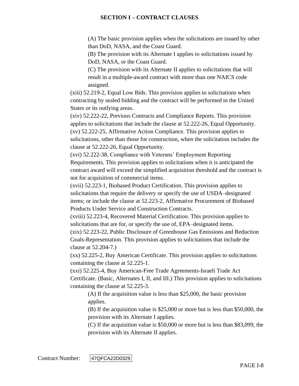(A) The basic provision applies when the solicitations are issued by other than DoD, NASA, and the Coast Guard.

(B) The provision with its Alternate I applies to solicitations issued by DoD, NASA, or the Coast Guard.

(C) The provision with its Alternate II applies to solicitations that will result in a multiple-award contract with more than one NAICS code assigned.

(xiii) [52.219-2,](https://acquisition.gov/far/52.219-2#FAR_52_219_2) Equal Low Bids. This provision applies to solicitations when contracting by sealed bidding and the contract will be performed in the United States or its outlying areas.

(xiv) [52.222-22,](https://acquisition.gov/far/52.222-22#FAR_52_222_22) Previous Contracts and Compliance Reports. This provision applies to solicitations that include the clause at [52.222-26,](https://acquisition.gov/far/52.222-26#FAR_52_222_26) Equal Opportunity. (xv) [52.222-25,](https://acquisition.gov/far/52.222-25#FAR_52_222_25) Affirmative Action Compliance. This provision applies to solicitations, other than those for construction, when the solicitation includes the clause at [52.222-26,](https://acquisition.gov/far/52.222-26#FAR_52_222_26) Equal Opportunity.

(xvi) [52.222-38,](https://acquisition.gov/far/52.222-38#FAR_52_222_38) Compliance with Veterans' Employment Reporting Requirements. This provision applies to solicitations when it is anticipated the contract award will exceed the simplified acquisition threshold and the contract is not for acquisition of commercial items.

(xvii) [52.223-1,](https://acquisition.gov/far/52.223-1#FAR_52_223_1) Biobased Product Certification. This provision applies to solicitations that require the delivery or specify the use of USDA–designated items; or include the clause at [52.223-2,](https://acquisition.gov/far/52.223-2#FAR_52_223_2) Affirmative Procurement of Biobased Products Under Service and Construction Contracts.

(xviii) [52.223-4,](https://acquisition.gov/far/52.223-4#FAR_52_223_4) Recovered Material Certification. This provision applies to solicitations that are for, or specify the use of, EPA–designated items.

(xix) [52.223-22,](https://acquisition.gov/far/52.223-22#FAR_52_223_22) Public Disclosure of Greenhouse Gas Emissions and Reduction Goals-Representation. This provision applies to solicitations that include the clause at [52.204-7.](https://acquisition.gov/far/52.204-7#FAR_52_204_7))

(xx) [52.225-2,](https://acquisition.gov/far/52.225-2#FAR_52_225_2) Buy American Certificate. This provision applies to solicitations containing the clause at [52.225-1.](https://acquisition.gov/far/52.225-1#FAR_52_225_1)

(xxi) [52.225-4,](https://acquisition.gov/far/52.225-4#FAR_52_225_4) Buy American-Free Trade Agreements-Israeli Trade Act Certificate. (Basic, Alternates I, II, and III.) This provision applies to solicitations containing the clause at [52.225-3.](https://acquisition.gov/far/52.225-3#FAR_52_225_3)

(A) If the acquisition value is less than \$25,000, the basic provision applies.

(B) If the acquisition value is \$25,000 or more but is less than \$50,000, the provision with its Alternate I applies.

(C) If the acquisition value is \$50,000 or more but is less than \$83,099, the provision with its Alternate II applies.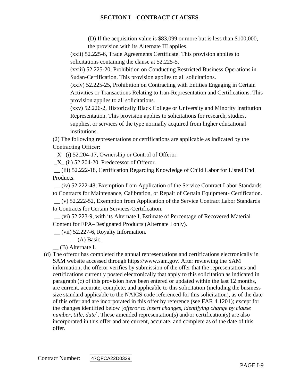(D) If the acquisition value is \$83,099 or more but is less than \$100,000, the provision with its Alternate III applies.

(xxii) [52.225-6,](https://acquisition.gov/far/52.225-6#FAR_52_225_6) Trade Agreements Certificate. This provision applies to solicitations containing the clause at [52.225-5.](https://acquisition.gov/far/52.225-5#FAR_52_225_5)

(xxiii) [52.225-20,](https://acquisition.gov/far/52.225-20#FAR_52_225_20) Prohibition on Conducting Restricted Business Operations in Sudan-Certification. This provision applies to all solicitations.

(xxiv) [52.225-25,](https://acquisition.gov/far/52.225-25#FAR_52_225_25) Prohibition on Contracting with Entities Engaging in Certain Activities or Transactions Relating to Iran-Representation and Certifications. This provision applies to all solicitations.

(xxv) [52.226-2,](https://acquisition.gov/far/52.226-2#FAR_52_226_2) Historically Black College or University and Minority Institution Representation. This provision applies to solicitations for research, studies, supplies, or services of the type normally acquired from higher educational institutions.

(2) The following representations or certifications are applicable as indicated by the Contracting Officer:

 $X_{1}$  (i) [52.204-17,](https://acquisition.gov/far/52.204-17#FAR_52_204_17) Ownership or Control of Offeror.

 $X$ <sub>(ii)</sub> [52.204-20,](https://acquisition.gov/far/52.204-20#FAR_52_204_20) Predecessor of Offeror.

\_\_ (iii) [52.222-18,](https://acquisition.gov/far/52.222-18#FAR_52_222_18) Certification Regarding Knowledge of Child Labor for Listed End Products.

\_\_ (iv) [52.222-48,](https://acquisition.gov/far/52.222-48#FAR_52_222_48) Exemption from Application of the Service Contract Labor Standards to Contracts for Maintenance, Calibration, or Repair of Certain Equipment- Certification. \_\_ (v) [52.222-52,](https://acquisition.gov/far/52.222-52#FAR_52_222_52) Exemption from Application of the Service Contract Labor Standards to Contracts for Certain Services-Certification.

\_\_ (vi) [52.223-9,](https://acquisition.gov/far/52.223-9#FAR_52_223_9) with its Alternate I, Estimate of Percentage of Recovered Material Content for EPA–Designated Products (Alternate I only).

 $\equiv$  (vii) [52.227-6,](https://acquisition.gov/far/52.227-6#FAR_52_227_6) Royalty Information.

\_\_ (A) Basic.

\_\_ (B) Alternate I.

(d) The offeror has completed the annual representations and certifications electronically in SAM website accessed through [https://www.sam.gov.](https://www.sam.gov/) After reviewing the SAM information, the offeror verifies by submission of the offer that the representations and certifications currently posted electronically that apply to this solicitation as indicated in paragraph (c) of this provision have been entered or updated within the last 12 months, are current, accurate, complete, and applicable to this solicitation (including the business size standard applicable to the NAICS code referenced for this solicitation), as of the date of this offer and are incorporated in this offer by reference (see FAR [4.1201\)](https://acquisition.gov/far/4.1201#FAR_4_1201); except for the changes identified below [*offeror to insert changes, identifying change by clause number, title, date*]. These amended representation(s) and/or certification(s) are also incorporated in this offer and are current, accurate, and complete as of the date of this offer.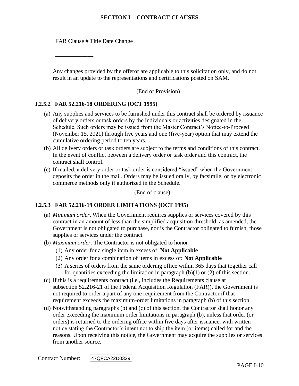FAR Clause # Title Date Change

\_\_\_\_\_\_\_\_\_\_\_\_\_

Any changes provided by the offeror are applicable to this solicitation only, and do not result in an update to the representations and certifications posted on SAM.

(End of Provision)

## **I.2.5.2 FAR 52.216-18 ORDERING (OCT 1995)**

- (a) Any supplies and services to be furnished under this contract shall be ordered by issuance of delivery orders or task orders by the individuals or activities designated in the Schedule. Such orders may be issued from the Master Contract's Notice-to-Proceed (November 15, 2021) through five years and one (five-year) option that may extend the cumulative ordering period to ten years.
- (b) All delivery orders or task orders are subject to the terms and conditions of this contract. In the event of conflict between a delivery order or task order and this contract, the contract shall control.
- (c) If mailed, a delivery order or task order is considered "issued" when the Government deposits the order in the mail. Orders may be issued orally, by facsimile, or by electronic commerce methods only if authorized in the Schedule.

(End of clause)

## **I.2.5.3 FAR 52.216-19 ORDER LIMITATIONS (OCT 1995)**

- (a) *Minimum order*. When the Government requires supplies or services covered by this contract in an amount of less than the simplified acquisition threshold, as amended, the Government is not obligated to purchase, nor is the Contractor obligated to furnish, those supplies or services under the contract.
- (b) *Maximum order*. The Contractor is not obligated to honor—
	- (1) Any order for a single item in excess of: **Not Applicable**
	- (2) Any order for a combination of items in excess of: **Not Applicable**
	- (3) A series of orders from the same ordering office within 365 days that together call for quantities exceeding the limitation in paragraph  $(b)(1)$  or  $(2)$  of this section.
- (c) If this is a requirements contract (i.e., includes the Requirements clause at subsection [52.216-21](https://www.acquisition.gov/far/current/html/52_216.html#wp1115057) of the Federal Acquisition Regulation (FAR)), the Government is not required to order a part of any one requirement from the Contractor if that requirement exceeds the maximum-order limitations in paragraph (b) of this section.
- (d) Notwithstanding paragraphs (b) and (c) of this section, the Contractor shall honor any order exceeding the maximum order limitations in paragraph (b), unless that order (or orders) is returned to the ordering office within five days after issuance, with written notice stating the Contractor's intent not to ship the item (or items) called for and the reasons. Upon receiving this notice, the Government may acquire the supplies or services from another source.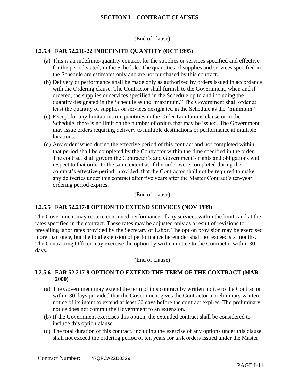(End of clause)

### **I.2.5.4 FAR 52.216-22 INDEFINITE QUANTITY (OCT 1995)**

- (a) This is an indefinite-quantity contract for the supplies or services specified and effective for the period stated, in the Schedule. The quantities of supplies and services specified in the Schedule are estimates only and are not purchased by this contract.
- (b) Delivery or performance shall be made only as authorized by orders issued in accordance with the Ordering clause. The Contractor shall furnish to the Government, when and if ordered, the supplies or services specified in the Schedule up to and including the quantity designated in the Schedule as the "maximum." The Government shall order at least the quantity of supplies or services designated in the Schedule as the "minimum."
- (c) Except for any limitations on quantities in the Order Limitations clause or in the Schedule, there is no limit on the number of orders that may be issued. The Government may issue orders requiring delivery to multiple destinations or performance at multiple locations.
- (d) Any order issued during the effective period of this contract and not completed within that period shall be completed by the Contractor within the time specified in the order. The contract shall govern the Contractor's and Government's rights and obligations with respect to that order to the same extent as if the order were completed during the contract's effective period; provided, that the Contractor shall not be required to make any deliveries under this contract after five years after the Master Contract's ten-year ordering period expires.

(End of clause)

#### **I.2.5.5 FAR 52.217-8 OPTION TO EXTEND SERVICES (NOV 1999)**

The Government may require continued performance of any services within the limits and at the rates specified in the contract. These rates may be adjusted only as a result of revisions to prevailing labor rates provided by the Secretary of Labor. The option provision may be exercised more than once, but the total extension of performance hereunder shall not exceed six months. The Contracting Officer may exercise the option by written notice to the Contractor within 30 days.

(End of clause)

### **I.2.5.6 FAR 52.217-9 OPTION TO EXTEND THE TERM OF THE CONTRACT (MAR 2000)**

- (a) The Government may extend the term of this contract by written notice to the Contractor within 30 days provided that the Government gives the Contractor a preliminary written notice of its intent to extend at least 60 days before the contract expires. The preliminary notice does not commit the Government to an extension.
- (b) If the Government exercises this option, the extended contract shall be considered to include this option clause.
- (c) The total duration of this contract, including the exercise of any options under this clause, shall not exceed the ordering period of ten years for task orders issued under the Master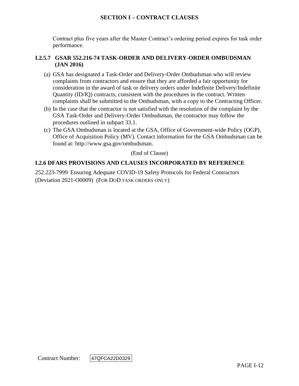Contract plus five years after the Master Contract's ordering period expires for task order performance.

### **I.2.5.7 GSAR 552.216-74 TASK-ORDER AND DELIVERY-ORDER OMBUDSMAN (JAN 2016)**

- (a) GSA has designated a Task-Order and Delivery-Order Ombudsman who will review complaints from contractors and ensure that they are afforded a fair opportunity for consideration in the award of task or delivery orders under Indefinite Delivery/Indefinite Quantity (ID/IQ) contracts, consistent with the procedures in the contract. Written complaints shall be submitted to the Ombudsman, with a copy to the Contracting Officer.
- (b) In the case that the contractor is not satisfied with the resolution of the complaint by the GSA Task-Order and Delivery-Order Ombudsman, the contractor may follow the procedures outlined in subpart 33.1.
- (c) The GSA Ombudsman is located at the GSA, Office of Government-wide Policy (OGP), Office of Acquisition Policy (MV). Contact information for the GSA Ombudsman can be found at: [http://www.gsa.gov/ombudsman.](http://www.gsa.gov/ombudsman)

(End of Clause)

## **I.2.6 DFARS PROVISIONS AND CLAUSES INCORPORATED BY REFERENCE**

252.223-7999 Ensuring Adequate COVID-19 Safety Protocols for Federal Contractors (Deviation 2021-O0009) (FOR DOD TASK ORDERS ONLY)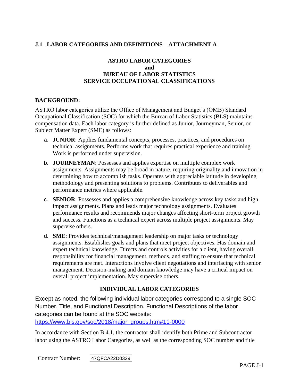# **J.1 LABOR CATEGORIES AND DEFINITIONS – ATTACHMENT A**

## **ASTRO LABOR CATEGORIES and BUREAU OF LABOR STATISTICS SERVICE OCCUPATIONAL CLASSIFICATIONS**

### **BACKGROUND:**

ASTRO labor categories utilize the Office of Management and Budget's (OMB) Standard Occupational Classification (SOC) for which the Bureau of Labor Statistics (BLS) maintains compensation data. Each labor category is further defined as Junior, Journeyman, Senior, or Subject Matter Expert (SME) as follows:

- a. **JUNIOR**: Applies fundamental concepts, processes, practices, and procedures on technical assignments. Performs work that requires practical experience and training. Work is performed under supervision.
- b. **JOURNEYMAN**: Possesses and applies expertise on multiple complex work assignments. Assignments may be broad in nature, requiring originality and innovation in determining how to accomplish tasks. Operates with appreciable latitude in developing methodology and presenting solutions to problems. Contributes to deliverables and performance metrics where applicable.
- c. **SENIOR**: Possesses and applies a comprehensive knowledge across key tasks and high impact assignments. Plans and leads major technology assignments. Evaluates performance results and recommends major changes affecting short-term project growth and success. Functions as a technical expert across multiple project assignments. May supervise others.
- d. **SME**: Provides technical/management leadership on major tasks or technology assignments. Establishes goals and plans that meet project objectives. Has domain and expert technical knowledge. Directs and controls activities for a client, having overall responsibility for financial management, methods, and staffing to ensure that technical requirements are met. Interactions involve client negotiations and interfacing with senior management. Decision-making and domain knowledge may have a critical impact on overall project implementation. May supervise others.

## **INDIVIDUAL LABOR CATEGORIES**

Except as noted, the following individual labor categories correspond to a single SOC Number, Title, and Functional Description. Functional Descriptions of the labor categories can be found at the SOC website:

[https://www.bls.gov/soc/2018/major\\_groups.htm#11-0000](https://www.bls.gov/soc/2018/major_groups.htm#11-0000)

In accordance with Section B.4.1, the contractor shall identify both Prime and Subcontractor labor using the ASTRO Labor Categories, as well as the corresponding SOC number and title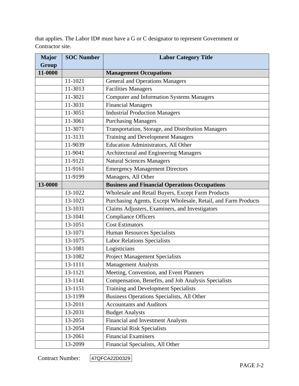that applies. The Labor ID# must have a G or C designator to represent Government or Contractor site.

| <b>Major</b> | <b>SOC Number</b> | <b>Labor Category Title</b>                                    |
|--------------|-------------------|----------------------------------------------------------------|
| <b>Group</b> |                   |                                                                |
| 11-0000      |                   | <b>Management Occupations</b>                                  |
|              | 11-1021           | <b>General and Operations Managers</b>                         |
|              | 11-3013           | <b>Facilities Managers</b>                                     |
|              | 11-3021           | <b>Computer and Information Systems Managers</b>               |
|              | 11-3031           | <b>Financial Managers</b>                                      |
|              | 11-3051           | <b>Industrial Production Managers</b>                          |
|              | 11-3061           | <b>Purchasing Managers</b>                                     |
|              | 11-3071           | Transportation, Storage, and Distribution Managers             |
|              | 11-3131           | <b>Training and Development Managers</b>                       |
|              | 11-9039           | <b>Education Administrators, All Other</b>                     |
|              | 11-9041           | Architectural and Engineering Managers                         |
|              | 11-9121           | Natural Sciences Managers                                      |
|              | 11-9161           | <b>Emergency Management Directors</b>                          |
|              | 11-9199           | Managers, All Other                                            |
| 13-0000      |                   | <b>Business and Financial Operations Occupations</b>           |
|              | 13-1022           | Wholesale and Retail Buyers, Except Farm Products              |
|              | 13-1023           | Purchasing Agents, Except Wholesale, Retail, and Farm Products |
|              | 13-1031           | Claims Adjusters, Examiners, and Investigators                 |
|              | 13-1041           | <b>Compliance Officers</b>                                     |
|              | 13-1051           | <b>Cost Estimators</b>                                         |
|              | 13-1071           | <b>Human Resources Specialists</b>                             |
|              | 13-1075           | <b>Labor Relations Specialists</b>                             |
|              | 13-1081           | Logisticians                                                   |
|              | 13-1082           | <b>Project Management Specialists</b>                          |
|              | 13-1111           | <b>Management Analysts</b>                                     |
|              | 13-1121           | Meeting, Convention, and Event Planners                        |
|              | 13-1141           | Compensation, Benefits, and Job Analysis Specialists           |
|              | 13-1151           | <b>Training and Development Specialists</b>                    |
|              | 13-1199           | <b>Business Operations Specialists, All Other</b>              |
|              | 13-2011           | <b>Accountants and Auditors</b>                                |
|              | 13-2031           | <b>Budget Analysts</b>                                         |
|              | 13-2051           | <b>Financial and Investment Analysts</b>                       |
|              | 13-2054           | <b>Financial Risk Specialists</b>                              |
|              | 13-2061           | <b>Financial Examiners</b>                                     |
|              | 13-2099           | Financial Specialists, All Other                               |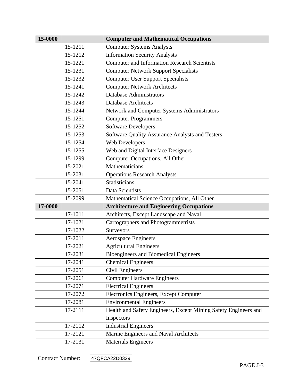| 15-0000 |         | <b>Computer and Mathematical Occupations</b>                    |
|---------|---------|-----------------------------------------------------------------|
|         | 15-1211 | <b>Computer Systems Analysts</b>                                |
|         | 15-1212 | <b>Information Security Analysts</b>                            |
|         | 15-1221 | <b>Computer and Information Research Scientists</b>             |
|         | 15-1231 | <b>Computer Network Support Specialists</b>                     |
|         | 15-1232 | <b>Computer User Support Specialists</b>                        |
|         | 15-1241 | <b>Computer Network Architects</b>                              |
|         | 15-1242 | <b>Database Administrators</b>                                  |
|         | 15-1243 | <b>Database Architects</b>                                      |
|         | 15-1244 | Network and Computer Systems Administrators                     |
|         | 15-1251 | <b>Computer Programmers</b>                                     |
|         | 15-1252 | <b>Software Developers</b>                                      |
|         | 15-1253 | Software Quality Assurance Analysts and Testers                 |
|         | 15-1254 | Web Developers                                                  |
|         | 15-1255 | Web and Digital Interface Designers                             |
|         | 15-1299 | Computer Occupations, All Other                                 |
|         | 15-2021 | Mathematicians                                                  |
|         | 15-2031 | <b>Operations Research Analysts</b>                             |
|         | 15-2041 | Statisticians                                                   |
|         | 15-2051 | Data Scientists                                                 |
|         | 15-2099 | Mathematical Science Occupations, All Other                     |
| 17-0000 |         | <b>Architecture and Engineering Occupations</b>                 |
|         | 17-1011 | Architects, Except Landscape and Naval                          |
|         | 17-1021 | Cartographers and Photogrammetrists                             |
|         | 17-1022 | Surveyors                                                       |
|         | 17-2011 | <b>Aerospace Engineers</b>                                      |
|         | 17-2021 | <b>Agricultural Engineers</b>                                   |
|         | 17-2031 | <b>Bioengineers and Biomedical Engineers</b>                    |
|         | 17-2041 | <b>Chemical Engineers</b>                                       |
|         | 17-2051 | Civil Engineers                                                 |
|         | 17-2061 | <b>Computer Hardware Engineers</b>                              |
|         | 17-2071 | <b>Electrical Engineers</b>                                     |
|         | 17-2072 | Electronics Engineers, Except Computer                          |
|         | 17-2081 | <b>Environmental Engineers</b>                                  |
|         | 17-2111 | Health and Safety Engineers, Except Mining Safety Engineers and |
|         |         | Inspectors                                                      |
|         | 17-2112 | <b>Industrial Engineers</b>                                     |
|         | 17-2121 | Marine Engineers and Naval Architects                           |
|         | 17-2131 | <b>Materials Engineers</b>                                      |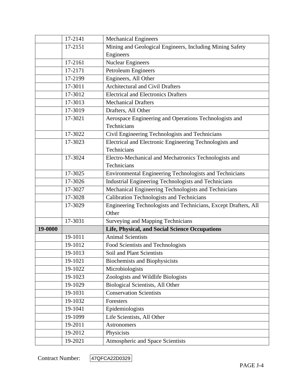|         | 17-2141 | <b>Mechanical Engineers</b>                                     |
|---------|---------|-----------------------------------------------------------------|
|         | 17-2151 | Mining and Geological Engineers, Including Mining Safety        |
|         |         | Engineers                                                       |
|         | 17-2161 | <b>Nuclear Engineers</b>                                        |
|         | 17-2171 | Petroleum Engineers                                             |
|         | 17-2199 | Engineers, All Other                                            |
|         | 17-3011 | <b>Architectural and Civil Drafters</b>                         |
|         | 17-3012 | <b>Electrical and Electronics Drafters</b>                      |
|         | 17-3013 | <b>Mechanical Drafters</b>                                      |
|         | 17-3019 | Drafters, All Other                                             |
|         | 17-3021 | Aerospace Engineering and Operations Technologists and          |
|         |         | Technicians                                                     |
|         | 17-3022 | Civil Engineering Technologists and Technicians                 |
|         | 17-3023 | Electrical and Electronic Engineering Technologists and         |
|         |         | Technicians                                                     |
|         | 17-3024 | Electro-Mechanical and Mechatronics Technologists and           |
|         |         | Technicians                                                     |
|         | 17-3025 | Environmental Engineering Technologists and Technicians         |
|         | 17-3026 | Industrial Engineering Technologists and Technicians            |
|         | 17-3027 | Mechanical Engineering Technologists and Technicians            |
|         | 17-3028 | <b>Calibration Technologists and Technicians</b>                |
|         | 17-3029 | Engineering Technologists and Technicians, Except Drafters, All |
|         |         | Other                                                           |
|         | 17-3031 | Surveying and Mapping Technicians                               |
| 19-0000 |         | Life, Physical, and Social Science Occupations                  |
|         | 19-1011 | <b>Animal Scientists</b>                                        |
|         | 19-1012 | Food Scientists and Technologists                               |
|         | 19-1013 | Soil and Plant Scientists                                       |
|         | 19-1021 | <b>Biochemists and Biophysicists</b>                            |
|         | 19-1022 | Microbiologists                                                 |
|         | 19-1023 | Zoologists and Wildlife Biologists                              |
|         | 19-1029 | Biological Scientists, All Other                                |
|         | 19-1031 | <b>Conservation Scientists</b>                                  |
|         | 19-1032 | Foresters                                                       |
|         | 19-1041 | Epidemiologists                                                 |
|         | 19-1099 | Life Scientists, All Other                                      |
|         | 19-2011 | <b>Astronomers</b>                                              |
|         | 19-2012 | Physicists                                                      |
|         | 19-2021 | Atmospheric and Space Scientists                                |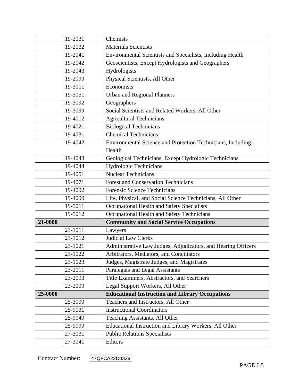|         | 19-2031 | Chemists                                                      |
|---------|---------|---------------------------------------------------------------|
|         | 19-2032 | <b>Materials Scientists</b>                                   |
|         | 19-2041 | Environmental Scientists and Specialists, Including Health    |
|         | 19-2042 | Geoscientists, Except Hydrologists and Geographers            |
|         | 19-2043 | Hydrologists                                                  |
|         | 19-2099 | Physical Scientists, All Other                                |
|         | 19-3011 | Economists                                                    |
|         | 19-3051 | <b>Urban and Regional Planners</b>                            |
|         | 19-3092 | Geographers                                                   |
|         | 19-3099 | Social Scientists and Related Workers, All Other              |
|         | 19-4012 | <b>Agricultural Technicians</b>                               |
|         | 19-4021 | <b>Biological Technicians</b>                                 |
|         | 19-4031 | <b>Chemical Technicians</b>                                   |
|         | 19-4042 | Environmental Science and Protection Technicians, Including   |
|         |         | Health                                                        |
|         | 19-4043 | Geological Technicians, Except Hydrologic Technicians         |
|         | 19-4044 | Hydrologic Technicians                                        |
|         | 19-4051 | <b>Nuclear Technicians</b>                                    |
|         | 19-4071 | <b>Forest and Conservation Technicians</b>                    |
|         | 19-4092 | <b>Forensic Science Technicians</b>                           |
|         | 19-4099 | Life, Physical, and Social Science Technicians, All Other     |
|         | 19-5011 | Occupational Health and Safety Specialists                    |
|         | 19-5012 | Occupational Health and Safety Technicians                    |
| 21-0000 |         | <b>Community and Social Service Occupations</b>               |
|         | 23-1011 | Lawyers                                                       |
|         | 23-1012 | <b>Judicial Law Clerks</b>                                    |
|         | 23-1021 | Administrative Law Judges, Adjudicators, and Hearing Officers |
|         | 23-1022 | Arbitrators, Mediators, and Conciliators                      |
|         | 23-1023 | Judges, Magistrate Judges, and Magistrates                    |
|         | 23-2011 | Paralegals and Legal Assistants                               |
|         | 23-2093 | Title Examiners, Abstractors, and Searchers                   |
|         | 23-2099 | Legal Support Workers, All Other                              |
| 25-0000 |         | <b>Educational Instruction and Library Occupations</b>        |
|         | 25-3099 | Teachers and Instructors, All Other                           |
|         | 25-9031 | <b>Instructional Coordinators</b>                             |
|         | 25-9049 | Teaching Assistants, All Other                                |
|         | 25-9099 | Educational Instruction and Library Workers, All Other        |
|         | 27-3031 | <b>Public Relations Specialists</b>                           |
|         | 27-3041 | Editors                                                       |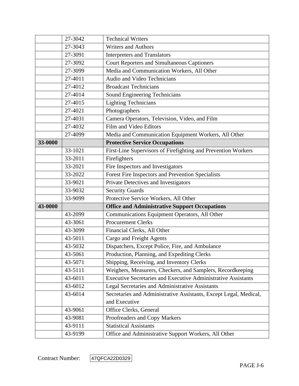|         | 27-3042 | <b>Technical Writers</b>                                             |
|---------|---------|----------------------------------------------------------------------|
|         | 27-3043 | <b>Writers and Authors</b>                                           |
|         | 27-3091 | <b>Interpreters and Translators</b>                                  |
|         | 27-3092 | <b>Court Reporters and Simultaneous Captioners</b>                   |
|         | 27-3099 | Media and Communication Workers, All Other                           |
|         | 27-4011 | Audio and Video Technicians                                          |
|         | 27-4012 | <b>Broadcast Technicians</b>                                         |
|         | 27-4014 | Sound Engineering Technicians                                        |
|         | 27-4015 | <b>Lighting Technicians</b>                                          |
|         | 27-4021 | Photographers                                                        |
|         | 27-4031 | Camera Operators, Television, Video, and Film                        |
|         | 27-4032 | Film and Video Editors                                               |
|         | 27-4099 | Media and Communication Equipment Workers, All Other                 |
| 33-0000 |         | <b>Protective Service Occupations</b>                                |
|         | 33-1021 | First-Line Supervisors of Firefighting and Prevention Workers        |
|         | 33-2011 | Firefighters                                                         |
|         | 33-2021 | Fire Inspectors and Investigators                                    |
|         | 33-2022 | Forest Fire Inspectors and Prevention Specialists                    |
|         | 33-9021 | Private Detectives and Investigators                                 |
|         | 33-9032 | <b>Security Guards</b>                                               |
|         | 33-9099 | Protective Service Workers, All Other                                |
| 43-0000 |         | <b>Office and Administrative Support Occupations</b>                 |
|         | 43-2099 | Communications Equipment Operators, All Other                        |
|         | 43-3061 | <b>Procurement Clerks</b>                                            |
|         | 43-3099 | Financial Clerks, All Other                                          |
|         | 43-5011 | Cargo and Freight Agents                                             |
|         | 43-5032 | Dispatchers, Except Police, Fire, and Ambulance                      |
|         | 43-5061 | Production, Planning, and Expediting Clerks                          |
|         | 43-5071 | Shipping, Receiving, and Inventory Clerks                            |
|         | 43-5111 | Weighers, Measurers, Checkers, and Samplers, Recordkeeping           |
|         | 43-6011 | <b>Executive Secretaries and Executive Administrative Assistants</b> |
|         | 43-6012 | Legal Secretaries and Administrative Assistants                      |
|         | 43-6014 | Secretaries and Administrative Assistants, Except Legal, Medical,    |
|         |         | and Executive                                                        |
|         | 43-9061 | Office Clerks, General                                               |
|         | 43-9081 | Proofreaders and Copy Markers                                        |
|         | 43-9111 | <b>Statistical Assistants</b>                                        |
|         | 43-9199 | Office and Administrative Support Workers, All Other                 |

Contract Number: 47QFCA22D0329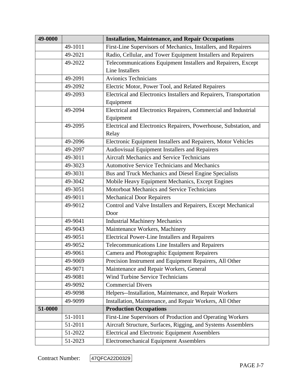| 49-0000 |         | <b>Installation, Maintenance, and Repair Occupations</b>            |
|---------|---------|---------------------------------------------------------------------|
|         | 49-1011 | First-Line Supervisors of Mechanics, Installers, and Repairers      |
|         | 49-2021 | Radio, Cellular, and Tower Equipment Installers and Repairers       |
|         | 49-2022 | Telecommunications Equipment Installers and Repairers, Except       |
|         |         | <b>Line Installers</b>                                              |
|         | 49-2091 | <b>Avionics Technicians</b>                                         |
|         | 49-2092 | Electric Motor, Power Tool, and Related Repairers                   |
|         | 49-2093 | Electrical and Electronics Installers and Repairers, Transportation |
|         |         | Equipment                                                           |
|         | 49-2094 | Electrical and Electronics Repairers, Commercial and Industrial     |
|         |         | Equipment                                                           |
|         | 49-2095 | Electrical and Electronics Repairers, Powerhouse, Substation, and   |
|         |         | Relay                                                               |
|         | 49-2096 | Electronic Equipment Installers and Repairers, Motor Vehicles       |
|         | 49-2097 | Audiovisual Equipment Installers and Repairers                      |
|         | 49-3011 | <b>Aircraft Mechanics and Service Technicians</b>                   |
|         | 49-3023 | <b>Automotive Service Technicians and Mechanics</b>                 |
|         | 49-3031 | Bus and Truck Mechanics and Diesel Engine Specialists               |
|         | 49-3042 | Mobile Heavy Equipment Mechanics, Except Engines                    |
|         | 49-3051 | Motorboat Mechanics and Service Technicians                         |
|         | 49-9011 | <b>Mechanical Door Repairers</b>                                    |
|         | 49-9012 | Control and Valve Installers and Repairers, Except Mechanical       |
|         |         | Door                                                                |
|         | 49-9041 | <b>Industrial Machinery Mechanics</b>                               |
|         | 49-9043 | Maintenance Workers, Machinery                                      |
|         | 49-9051 | <b>Electrical Power-Line Installers and Repairers</b>               |
|         | 49-9052 | Telecommunications Line Installers and Repairers                    |
|         | 49-9061 | Camera and Photographic Equipment Repairers                         |
|         | 49-9069 | Precision Instrument and Equipment Repairers, All Other             |
|         | 49-9071 | Maintenance and Repair Workers, General                             |
|         | 49-9081 | <b>Wind Turbine Service Technicians</b>                             |
|         | 49-9092 | <b>Commercial Divers</b>                                            |
|         | 49-9098 | Helpers--Installation, Maintenance, and Repair Workers              |
|         | 49-9099 | Installation, Maintenance, and Repair Workers, All Other            |
| 51-0000 |         | <b>Production Occupations</b>                                       |
|         | 51-1011 | First-Line Supervisors of Production and Operating Workers          |
|         | 51-2011 | Aircraft Structure, Surfaces, Rigging, and Systems Assemblers       |
|         | 51-2022 | <b>Electrical and Electronic Equipment Assemblers</b>               |
|         | 51-2023 | <b>Electromechanical Equipment Assemblers</b>                       |

Contract Number: 47QFCA22D0329